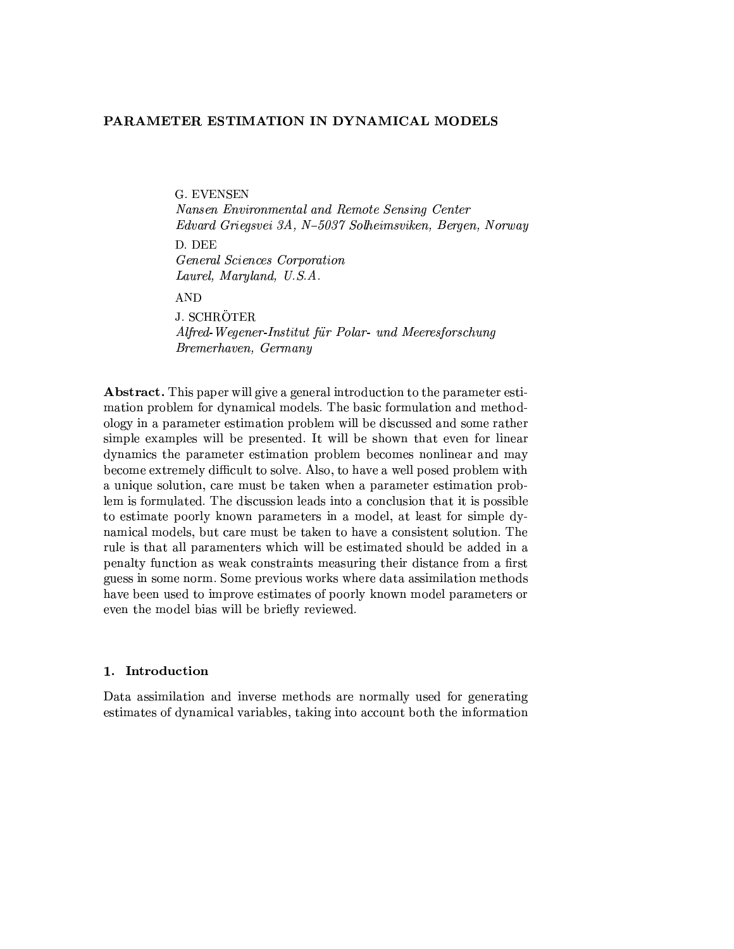# PARAMETER ESTIMATION IN DYNAMICAL MODELS

**G. EVENSEN** 

Nansen Environmental and Remote Sensing Center Edvard Griegsvei 3A, N-5037 Solheimsviken, Bergen, Norway

D. DEE

General Sciences Corporation Laurel, Maryland, U.S.A.

**AND** 

J. SCHRÖTER Alfred-Wegener-Institut für Polar- und Meeresforschung Bremerhaven, Germany

**Abstract.** This paper will give a general introduction to the parameter estimation problem for dynamical models. The basic formulation and methodology in a parameter estimation problem will be discussed and some rather simple examples will be presented. It will be shown that even for linear dynamics the parameter estimation problem becomes nonlinear and may become extremely difficult to solve. Also, to have a well posed problem with a unique solution, care must be taken when a parameter estimation problem is formulated. The discussion leads into a conclusion that it is possible to estimate poorly known parameters in a model, at least for simple dynamical models, but care must be taken to have a consistent solution. The rule is that all paramenters which will be estimated should be added in a penalty function as weak constraints measuring their distance from a first guess in some norm. Some previous works where data assimilation methods have been used to improve estimates of poorly known model parameters or even the model bias will be briefly reviewed.

# 1. Introduction

Data assimilation and inverse methods are normally used for generating estimates of dynamical variables, taking into account both the information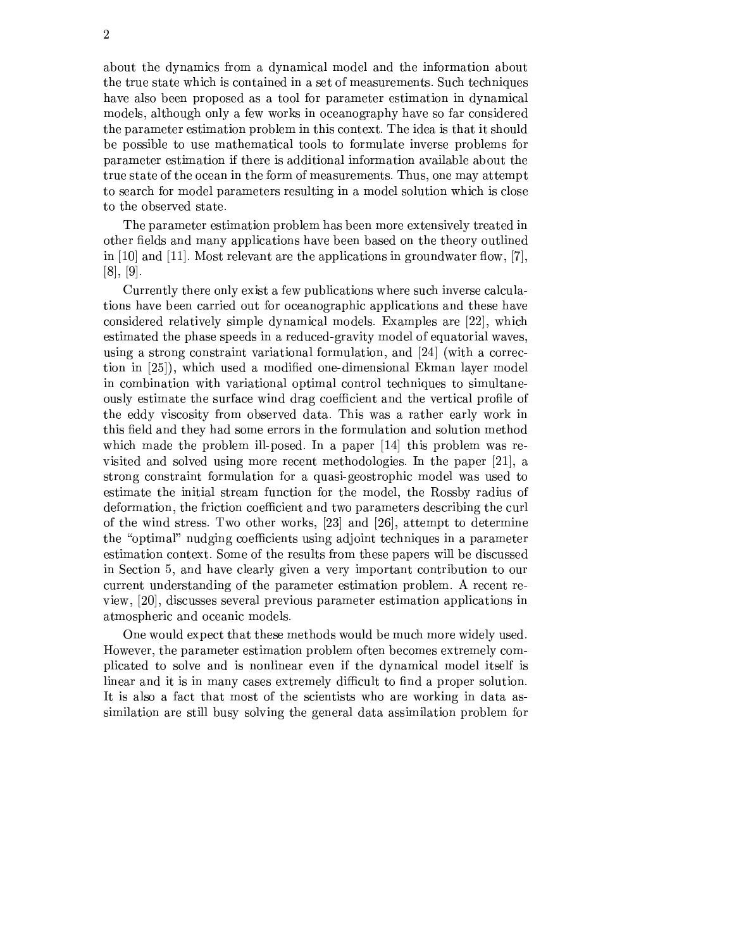about the dynamics from a dynamical model and the information about the true state which is contained in a set of measurements. Such techniques have also been proposed as a tool for parameter estimation in dynamical models, although only a few works in oceanography have so far considered the parameter estimation problem in this context. The idea is that it should be possible to use mathematical tools to formulate inverse problems for parameter estimation if there is additional information available about the true state of the ocean in the form of measurements. Thus, one may attempt to search for model parameters resulting in a model solution which is close to the observed state.

The parameter estimation problem has been more extensively treated in other fields and many applications have been based on the theory outlined in [10] and [11]. Most relevant are the applications in groundwater flow, [7],  $|8|, |9|.$ 

Currently there only exist a few publications where such inverse calculations have been carried out for oceanographic applications and these have considered relatively simple dynamical models. Examples are [22], which estimated the phase speeds in a reduced-gravity model of equatorial waves, using a strong constraint variational formulation, and  $[24]$  (with a correction in [25]), which used a modified one-dimensional Ekman layer model in combination with variational optimal control techniques to simultaneously estimate the surface wind drag coefficient and the vertical profile of the eddy viscosity from observed data. This was a rather early work in this field and they had some errors in the formulation and solution method which made the problem ill-posed. In a paper  $[14]$  this problem was revisited and solved using more recent methodologies. In the paper [21], a strong constraint formulation for a quasi-geostrophic model was used to estimate the initial stream function for the model, the Rossby radius of deformation, the friction coefficient and two parameters describing the curl of the wind stress. Two other works,  $[23]$  and  $[26]$ , attempt to determine the "optimal" nudging coefficients using adjoint techniques in a parameter estimation context. Some of the results from these papers will be discussed in Section 5, and have clearly given a very important contribution to our current understanding of the parameter estimation problem. A recent review, [20], discusses several previous parameter estimation applications in atmospheric and oceanic models.

One would expect that these methods would be much more widely used. However, the parameter estimation problem often becomes extremely complicated to solve and is nonlinear even if the dynamical model itself is linear and it is in many cases extremely difficult to find a proper solution. It is also a fact that most of the scientists who are working in data assimilation are still busy solving the general data assimilation problem for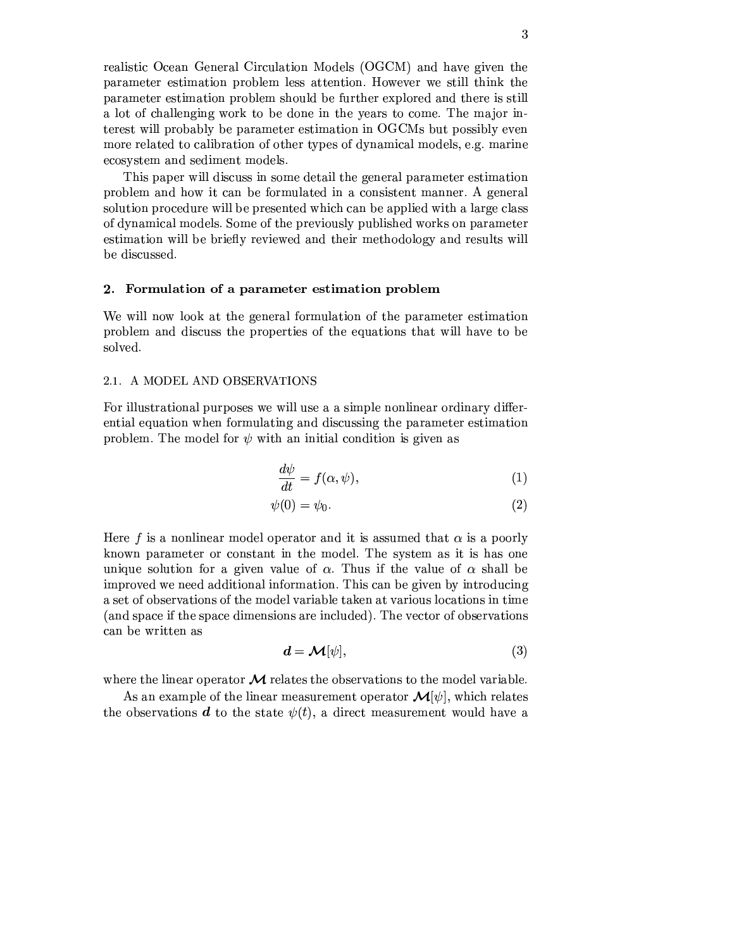realistic Ocean General Circulation Models (OGCM) and have given the parameter estimation problem less attention. However we still think the parameter estimation problem should be further explored and there is still a lot of challenging work to be done in the years to come. The major interest will probably be parameter estimation in OGCMs but possibly even more related to calibration of other types of dynamical models, e.g. marine ecosystem and sediment models.

This paper will discuss in some detail the general parameter estimation problem and how it can be formulated in a consistent manner. A general solution procedure will be presented which can be applied with a large class of dynamical models. Some of the previously published works on parameter estimation will be briefly reviewed and their methodology and results will be discussed.

# 2. Formulation of a parameter estimation problem

We will now look at the general formulation of the parameter estimation problem and discuss the properties of the equations that will have to be solved.

### 2.1. A MODEL AND OBSERVATIONS

For illustrational purposes we will use a a simple nonlinear ordinary differential equation when formulating and discussing the parameter estimation problem. The model for  $\psi$  with an initial condition is given as

$$
\frac{d\psi}{dt} = f(\alpha, \psi),\tag{1}
$$

$$
\psi(0) = \psi_0. \tag{2}
$$

Here f is a nonlinear model operator and it is assumed that  $\alpha$  is a poorly known parameter or constant in the model. The system as it is has one unique solution for a given value of  $\alpha$ . Thus if the value of  $\alpha$  shall be improved we need additional information. This can be given by introducing a set of observations of the model variable taken at various locations in time (and space if the space dimensions are included). The vector of observations can be written as

$$
\mathbf{d} = \mathbf{\mathcal{M}}[\psi],\tag{3}
$$

where the linear operator  $\mathcal M$  relates the observations to the model variable.

As an example of the linear measurement operator  $\mathcal{M}[\psi]$ , which relates the observations d to the state  $\psi(t)$ , a direct measurement would have a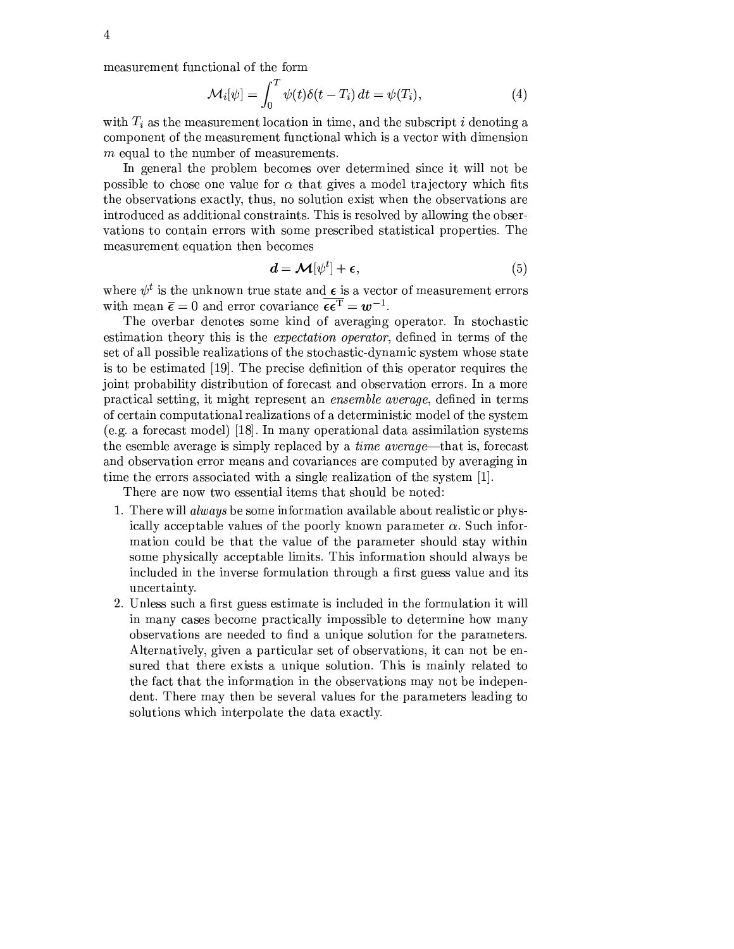measurement functional of the form

$$
\mathcal{M}_i[\psi] = \int_0^T \psi(t)\delta(t - T_i) dt = \psi(T_i), \tag{4}
$$

with  $T_i$  as the measurement location in time, and the subscript i denoting a component of the measurement functional which is a vector with dimension m equal to the number of measurements.

In general the problem becomes over determined since it will not be possible to chose one value for  $\alpha$  that gives a model trajectory which fits the observations exactly, thus, no solution exist when the observations are introduced as additional constraints. This is resolved by allowing the observations to contain errors with some prescribed statistical properties. The measurement equation then becomes

$$
d = \mathcal{M}[\psi^t] + \epsilon,\tag{5}
$$

where  $\psi^t$  is the unknown true state and  $\epsilon$  is a vector of measurement errors with mean  $\bar{\epsilon} = 0$  and error covariance  $\bar{\epsilon} \epsilon^T = w^{-1}$ .

The overbar denotes some kind of averaging operator. In stochastic estimation theory this is the *expectation operator*, defined in terms of the set of all possible realizations of the stochastic-dynamic system whose state is to be estimated [19]. The precise definition of this operator requires the joint probability distribution of forecast and observation errors. In a more practical setting, it might represent an *ensemble average*, defined in terms of certain computational realizations of a deterministic model of the system  $(e.g. a forecast model)$  [18]. In many operational data assimilation systems the esemble average is simply replaced by a *time average*—that is, forecast and observation error means and covariances are computed by averaging in time the errors associated with a single realization of the system [1].

There are now two essential items that should be noted:

- 1. There will *always* be some information available about realistic or physically acceptable values of the poorly known parameter  $\alpha$ . Such information could be that the value of the parameter should stay within some physically acceptable limits. This information should always be included in the inverse formulation through a first guess value and its uncertainty.
- 2. Unless such a first guess estimate is included in the formulation it will in many cases become practically impossible to determine how many observations are needed to find a unique solution for the parameters. Alternatively, given a particular set of observations, it can not be ensured that there exists a unique solution. This is mainly related to the fact that the information in the observations may not be independent. There may then be several values for the parameters leading to solutions which interpolate the data exactly.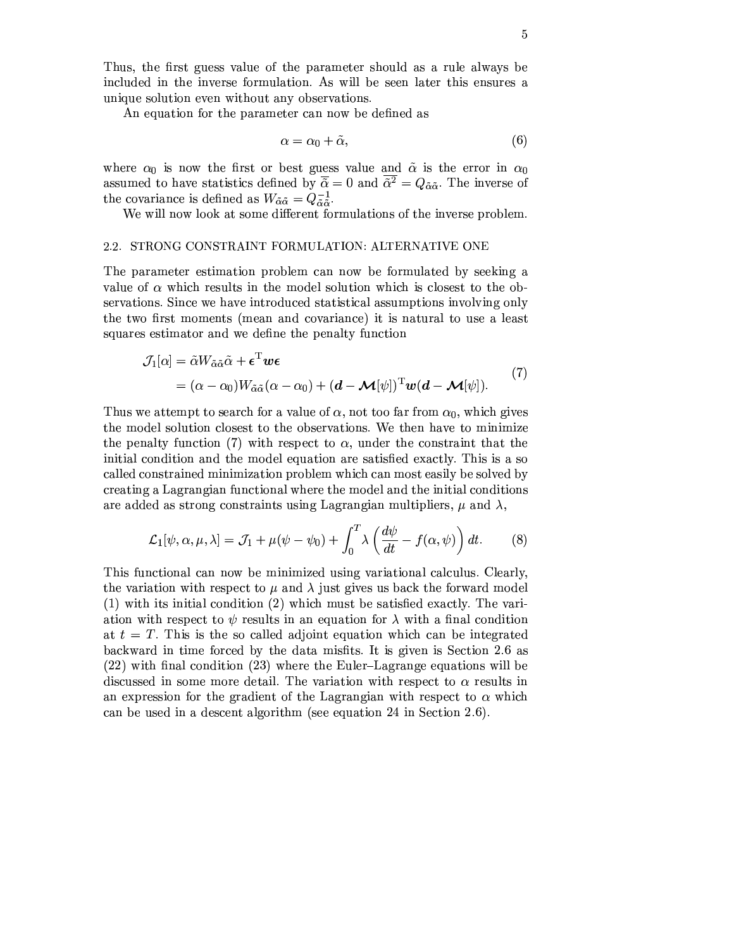Thus, the first guess value of the parameter should as a rule always be included in the inverse formulation. As will be seen later this ensures a unique solution even without any observations.

An equation for the parameter can now be defined as

$$
\alpha = \alpha_0 + \tilde{\alpha},\tag{6}
$$

where  $\alpha_0$  is now the first or best guess value and  $\tilde{\alpha}$  is the error in  $\alpha_0$ assumed to have statistics defined by  $\overline{\tilde{\alpha}} = 0$  and  $\overline{\tilde{\alpha}^2} = Q_{\tilde{\alpha}\tilde{\alpha}}$ . The inverse of the covariance is defined as  $W_{\tilde{\alpha}\tilde{\alpha}} = Q_{\tilde{\alpha}\tilde{\alpha}}^{-1}$ .

We will now look at some different formulations of the inverse problem.

#### 2.2. STRONG CONSTRAINT FORMULATION: ALTERNATIVE ONE

The parameter estimation problem can now be formulated by seeking a value of  $\alpha$  which results in the model solution which is closest to the observations. Since we have introduced statistical assumptions involving only the two first moments (mean and covariance) it is natural to use a least squares estimator and we define the penalty function

$$
\mathcal{J}_1[\alpha] = \tilde{\alpha} W_{\tilde{\alpha}\tilde{\alpha}} \tilde{\alpha} + \boldsymbol{\epsilon}^{\mathrm{T}} \boldsymbol{w} \boldsymbol{\epsilon} \n= (\alpha - \alpha_0) W_{\tilde{\alpha}\tilde{\alpha}} (\alpha - \alpha_0) + (\boldsymbol{d} - \boldsymbol{\mathcal{M}}[\psi])^{\mathrm{T}} \boldsymbol{w} (\boldsymbol{d} - \boldsymbol{\mathcal{M}}[\psi]).
$$
\n(7)

Thus we attempt to search for a value of  $\alpha$ , not too far from  $\alpha_0$ , which gives the model solution closest to the observations. We then have to minimize the penalty function (7) with respect to  $\alpha$ , under the constraint that the initial condition and the model equation are satisfied exactly. This is a so called constrained minimization problem which can most easily be solved by creating a Lagrangian functional where the model and the initial conditions are added as strong constraints using Lagrangian multipliers,  $\mu$  and  $\lambda$ ,

$$
\mathcal{L}_1[\psi, \alpha, \mu, \lambda] = \mathcal{J}_1 + \mu(\psi - \psi_0) + \int_0^T \lambda \left(\frac{d\psi}{dt} - f(\alpha, \psi)\right) dt. \tag{8}
$$

This functional can now be minimized using variational calculus. Clearly, the variation with respect to  $\mu$  and  $\lambda$  just gives us back the forward model  $(1)$  with its initial condition  $(2)$  which must be satisfied exactly. The variation with respect to  $\psi$  results in an equation for  $\lambda$  with a final condition at  $t = T$ . This is the so called adjoint equation which can be integrated backward in time forced by the data misfits. It is given is Section 2.6 as  $(22)$  with final condition  $(23)$  where the Euler-Lagrange equations will be discussed in some more detail. The variation with respect to  $\alpha$  results in an expression for the gradient of the Lagrangian with respect to  $\alpha$  which can be used in a descent algorithm (see equation 24 in Section 2.6).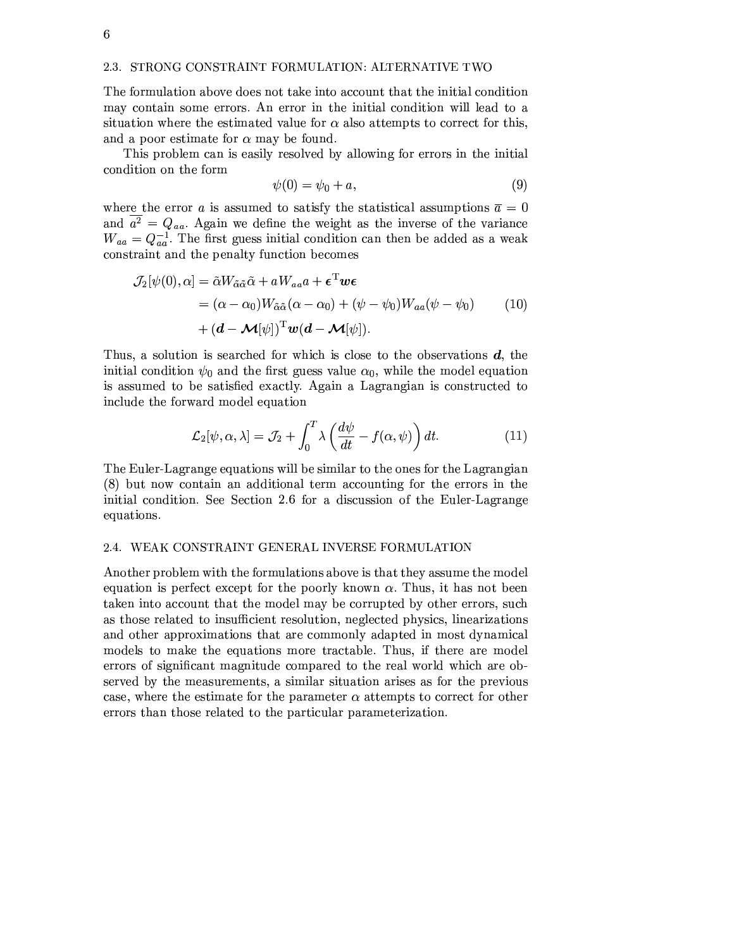## 2.3. STRONG CONSTRAINT FORMULATION: ALTERNATIVE TWO

The formulation above does not take into account that the initial condition may contain some errors. An error in the initial condition will lead to a situation where the estimated value for  $\alpha$  also attempts to correct for this, and a poor estimate for  $\alpha$  may be found.

This problem can is easily resolved by allowing for errors in the initial condition on the form

$$
\psi(0) = \psi_0 + a,\tag{9}
$$

where the error a is assumed to satisfy the statistical assumptions  $\bar{a} = 0$ and  $a^2 = Q_{aa}$ . Again we define the weight as the inverse of the variance  $W_{aa} = Q_{aa}^{-1}$ . The first guess initial condition can then be added as a weak constraint and the penalty function becomes

$$
\mathcal{J}_2[\psi(0), \alpha] = \tilde{\alpha} W_{\tilde{\alpha}\tilde{\alpha}} \tilde{\alpha} + a W_{aa} a + \epsilon^{\mathrm{T}} w \epsilon
$$
  
=  $(\alpha - \alpha_0) W_{\tilde{\alpha}\tilde{\alpha}} (\alpha - \alpha_0) + (\psi - \psi_0) W_{aa} (\psi - \psi_0)$  (10)  
+  $(d - \mathcal{M}[\psi])^{\mathrm{T}} w (d - \mathcal{M}[\psi]).$ 

Thus, a solution is searched for which is close to the observations  $d$ , the initial condition  $\psi_0$  and the first guess value  $\alpha_0$ , while the model equation is assumed to be satisfied exactly. Again a Lagrangian is constructed to include the forward model equation

$$
\mathcal{L}_2[\psi,\alpha,\lambda] = \mathcal{J}_2 + \int_0^T \lambda \left(\frac{d\psi}{dt} - f(\alpha,\psi)\right) dt. \tag{11}
$$

The Euler-Lagrange equations will be similar to the ones for the Lagrangian (8) but now contain an additional term accounting for the errors in the initial condition. See Section 2.6 for a discussion of the Euler-Lagrange equations.

# 2.4. WEAK CONSTRAINT GENERAL INVERSE FORMULATION

Another problem with the formulations above is that they assume the model equation is perfect except for the poorly known  $\alpha$ . Thus, it has not been taken into account that the model may be corrupted by other errors, such as those related to insufficient resolution, neglected physics, linearizations and other approximations that are commonly adapted in most dynamical models to make the equations more tractable. Thus, if there are model errors of significant magnitude compared to the real world which are observed by the measurements, a similar situation arises as for the previous case, where the estimate for the parameter  $\alpha$  attempts to correct for other errors than those related to the particular parameterization.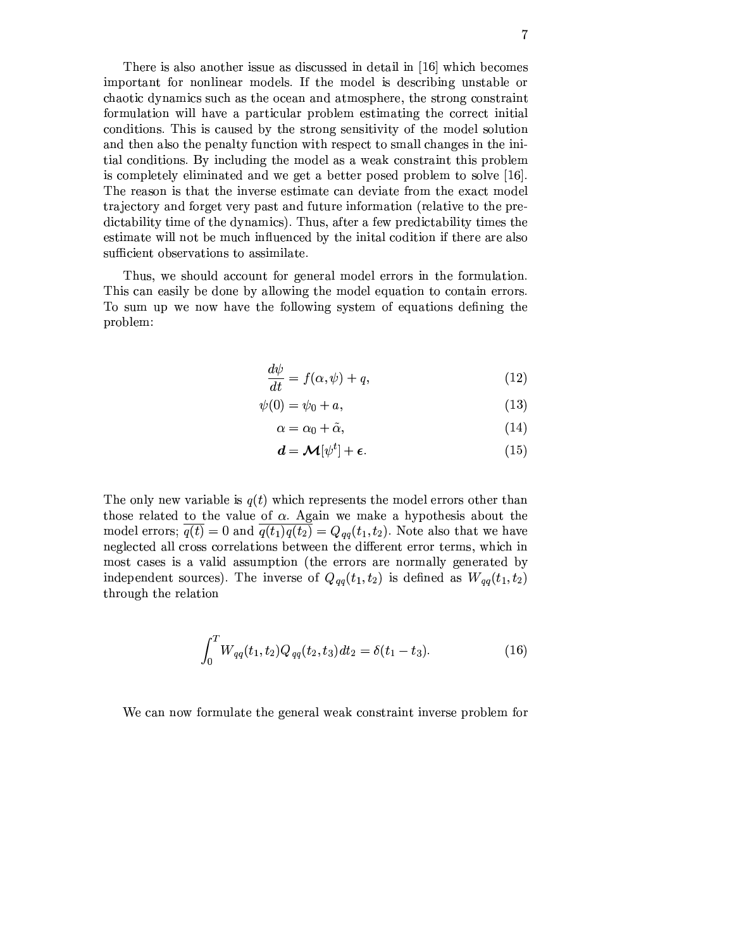There is also another issue as discussed in detail in [16] which becomes important for nonlinear models. If the model is describing unstable or chaotic dynamics such as the ocean and atmosphere, the strong constraint formulation will have a particular problem estimating the correct initial conditions. This is caused by the strong sensitivity of the model solution and then also the penalty function with respect to small changes in the intial conditions. By including the model as a weak constraint this problem is completely eliminated and we get a better posed problem to solve [16]. The reason is that the inverse estimate can deviate from the exact model trajectory and forget very past and future information (relative to the predictability time of the dynamics). Thus, after a few predictability times the estimate will not be much influenced by the initial codition if there are also sufficient observations to assimilate.

Thus, we should account for general model errors in the formulation. This can easily be done by allowing the model equation to contain errors. To sum up we now have the following system of equations defining the problem:

$$
\frac{d\psi}{dt} = f(\alpha, \psi) + q,\tag{12}
$$

$$
\psi(0) = \psi_0 + a,\tag{13}
$$

$$
\alpha = \alpha_0 + \tilde{\alpha}, \qquad (14)
$$

$$
\mathbf{d} = \mathbf{\mathcal{M}}[\psi^t] + \boldsymbol{\epsilon}.\tag{15}
$$

The only new variable is  $q(t)$  which represents the model errors other than those related to the value of  $\alpha$ . Again we make a hypothesis about the model errors;  $q(t) = 0$  and  $q(t_1)q(t_2) = Q_{qq}(t_1, t_2)$ . Note also that we have neglected all cross correlations between the different error terms, which in most cases is a valid assumption (the errors are normally generated by independent sources). The inverse of  $Q_{qq}(t_1, t_2)$  is defined as  $W_{qq}(t_1, t_2)$ through the relation

$$
\int_0^T W_{qq}(t_1, t_2) Q_{qq}(t_2, t_3) dt_2 = \delta(t_1 - t_3).
$$
 (16)

We can now formulate the general weak constraint inverse problem for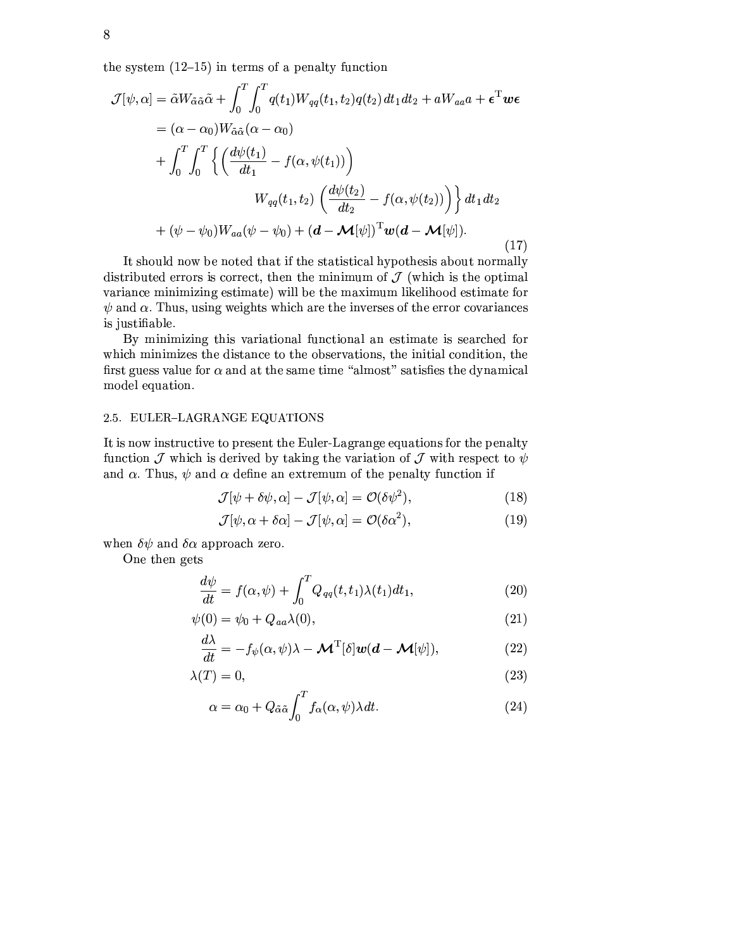the system  $(12-15)$  in terms of a penalty function

$$
\mathcal{J}[\psi,\alpha] = \tilde{\alpha}W_{\tilde{\alpha}\tilde{\alpha}}\tilde{\alpha} + \int_0^T \int_0^T q(t_1)W_{qq}(t_1, t_2)q(t_2)dt_1dt_2 + aW_{aa}a + \epsilon^{\mathrm{T}}\boldsymbol{w}\epsilon
$$
  

$$
= (\alpha - \alpha_0)W_{\tilde{\alpha}\tilde{\alpha}}(\alpha - \alpha_0)
$$

$$
+ \int_0^T \int_0^T \left\{ \left( \frac{d\psi(t_1)}{dt_1} - f(\alpha, \psi(t_1)) \right) \right\}
$$

$$
W_{qq}(t_1, t_2) \left( \frac{d\psi(t_2)}{dt_2} - f(\alpha, \psi(t_2)) \right) \right\} dt_1 dt_2
$$

$$
+ (\psi - \psi_0)W_{aa}(\psi - \psi_0) + (\boldsymbol{d} - \mathcal{M}[\psi])^{\mathrm{T}}\boldsymbol{w}(\boldsymbol{d} - \mathcal{M}[\psi]). \tag{17}
$$

It should now be noted that if the statistical hypothesis about normally distributed errors is correct, then the minimum of  $\mathcal J$  (which is the optimal variance minimizing estimate) will be the maximum likelihood estimate for  $\psi$  and  $\alpha$ . Thus, using weights which are the inverses of the error covariances is justifiable.

By minimizing this variational functional an estimate is searched for which minimizes the distance to the observations, the initial condition, the first guess value for  $\alpha$  and at the same time "almost" satisfies the dynamical model equation.

## 2.5. EULER-LAGRANGE EQUATIONS

It is now instructive to present the Euler-Lagrange equations for the penalty function  $\mathcal J$  which is derived by taking the variation of  $\mathcal J$  with respect to  $\psi$ and  $\alpha$ . Thus,  $\psi$  and  $\alpha$  define an extremum of the penalty function if

$$
\mathcal{J}[\psi + \delta\psi, \alpha] - \mathcal{J}[\psi, \alpha] = \mathcal{O}(\delta\psi^2), \tag{18}
$$

$$
\mathcal{J}[\psi, \alpha + \delta \alpha] - \mathcal{J}[\psi, \alpha] = \mathcal{O}(\delta \alpha^2), \tag{19}
$$

when  $\delta \psi$  and  $\delta \alpha$  approach zero.

One then gets

$$
\frac{d\psi}{dt} = f(\alpha, \psi) + \int_0^T Q_{qq}(t, t_1) \lambda(t_1) dt_1, \tag{20}
$$

$$
\psi(0) = \psi_0 + Q_{aa}\lambda(0),\tag{21}
$$

$$
\frac{d\lambda}{dt} = -f_{\psi}(\alpha, \psi)\lambda - \mathcal{M}^{T}[\delta]\boldsymbol{w}(\boldsymbol{d} - \mathcal{M}[\psi]),
$$
\n(22)

$$
\lambda(T) = 0,\t(23)
$$

$$
\alpha = \alpha_0 + Q_{\tilde{\alpha}\tilde{\alpha}} \int_0^T f_{\alpha}(\alpha, \psi) \lambda dt.
$$
 (24)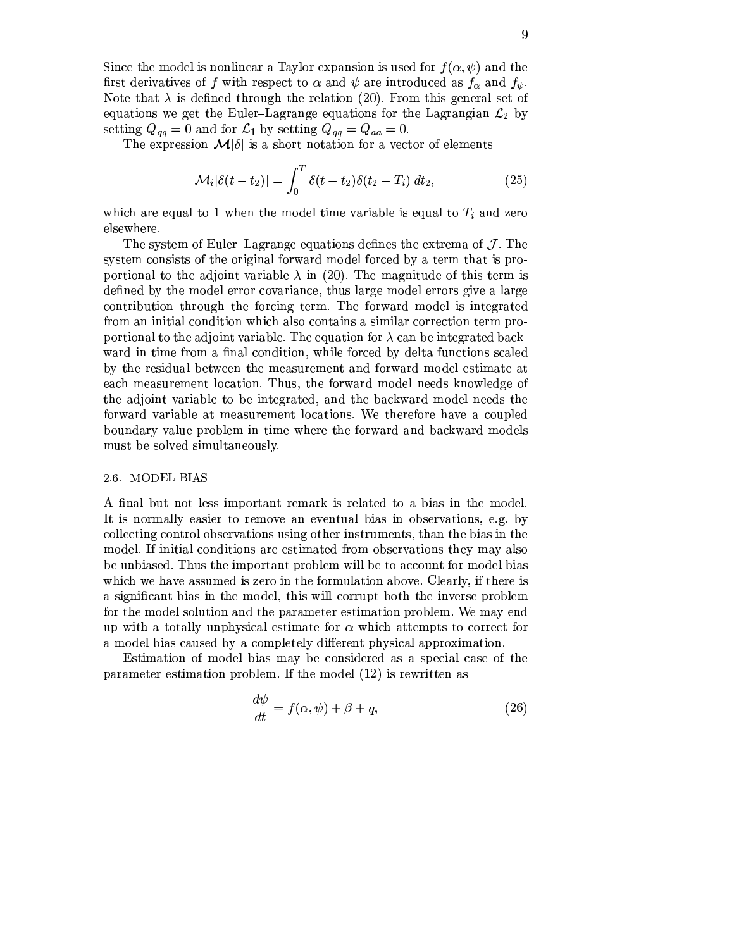Since the model is nonlinear a Taylor expansion is used for  $f(\alpha, \psi)$  and the first derivatives of f with respect to  $\alpha$  and  $\psi$  are introduced as  $f_{\alpha}$  and  $f_{\psi}$ . Note that  $\lambda$  is defined through the relation (20). From this general set of equations we get the Euler-Lagrange equations for the Lagrangian  $\mathcal{L}_2$  by setting  $Q_{qq} = 0$  and for  $\mathcal{L}_1$  by setting  $Q_{qq} = Q_{aa} = 0$ .<br>The expression  $\mathcal{M}[\delta]$  is a short notation for a vector of elements

$$
\mathcal{M}_i[\delta(t-t_2)] = \int_0^T \delta(t-t_2)\delta(t_2-T_i) dt_2, \qquad (25)
$$

which are equal to 1 when the model time variable is equal to  $T_i$  and zero elsewhere.

The system of Euler–Lagrange equations defines the extrema of  $J$ . The system consists of the original forward model forced by a term that is proportional to the adjoint variable  $\lambda$  in (20). The magnitude of this term is defined by the model error covariance, thus large model errors give a large contribution through the forcing term. The forward model is integrated from an initial condition which also contains a similar correction term proportional to the adjoint variable. The equation for  $\lambda$  can be integrated backward in time from a final condition, while forced by delta functions scaled by the residual between the measurement and forward model estimate at each measurement location. Thus, the forward model needs knowledge of the adjoint variable to be integrated, and the backward model needs the forward variable at measurement locations. We therefore have a coupled boundary value problem in time where the forward and backward models must be solved simultaneously.

## 2.6. MODEL BIAS

A final but not less important remark is related to a bias in the model. It is normally easier to remove an eventual bias in observations, e.g. by collecting control observations using other instruments, than the bias in the model. If initial conditions are estimated from observations they may also be unbiased. Thus the important problem will be to account for model bias which we have assumed is zero in the formulation above. Clearly, if there is a significant bias in the model, this will corrupt both the inverse problem for the model solution and the parameter estimation problem. We may end up with a totally unphysical estimate for  $\alpha$  which attempts to correct for a model bias caused by a completely different physical approximation.

Estimation of model bias may be considered as a special case of the parameter estimation problem. If the model  $(12)$  is rewritten as

$$
\frac{d\psi}{dt} = f(\alpha, \psi) + \beta + q,\tag{26}
$$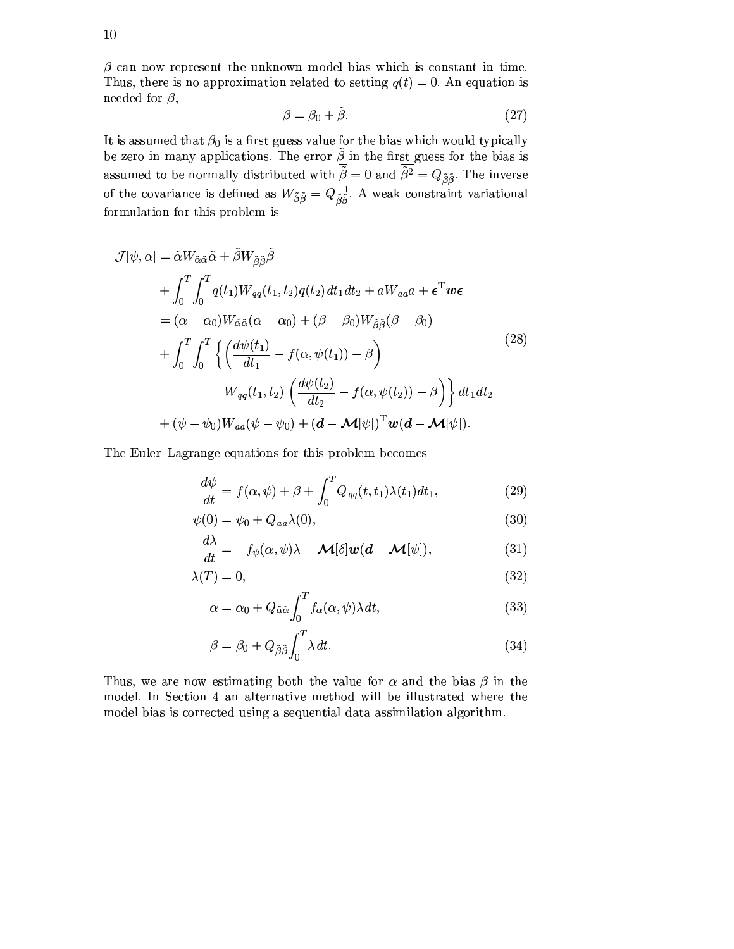$\beta$  can now represent the unknown model bias which is constant in time. Thus, there is no approximation related to setting  $\overline{q(t)} = 0$ . An equation is needed for  $\beta$ ,

$$
\beta = \beta_0 + \beta. \tag{27}
$$

It is assumed that  $\beta_0$  is a first guess value for the bias which would typically be zero in many applications. The error  $\tilde{\underline{\beta}}$  in the first guess for the bias is assumed to be normally distributed with  $\overline{\tilde{\beta}} = 0$  and  $\overline{\tilde{\beta}^2} = Q_{\tilde{\beta}\tilde{\beta}}$ . The inverse<br>of the covariance is defined as  $W_{\tilde{\beta}\tilde{\beta}} = Q_{\tilde{\beta}\tilde{\beta}}^{-1}$ . A weak constraint variational formulation for this problem is

$$
\mathcal{J}[\psi,\alpha] = \tilde{\alpha}W_{\tilde{\alpha}\tilde{\alpha}}\tilde{\alpha} + \tilde{\beta}W_{\tilde{\beta}\tilde{\beta}}\tilde{\beta}
$$
  
+ 
$$
\int_0^T \int_0^T q(t_1)W_{qq}(t_1, t_2)q(t_2)dt_1dt_2 + aW_{aa}a + \epsilon^{\mathrm{T}}\boldsymbol{w}\epsilon
$$
  
= 
$$
(\alpha - \alpha_0)W_{\tilde{\alpha}\tilde{\alpha}}(\alpha - \alpha_0) + (\beta - \beta_0)W_{\tilde{\beta}\tilde{\beta}}(\beta - \beta_0)
$$
  
+ 
$$
\int_0^T \int_0^T \left\{ \left( \frac{d\psi(t_1)}{dt_1} - f(\alpha, \psi(t_1)) - \beta \right) \right\}
$$
  

$$
W_{qq}(t_1, t_2) \left( \frac{d\psi(t_2)}{dt_2} - f(\alpha, \psi(t_2)) - \beta \right) \right\} dt_1 dt_2
$$
  
+ 
$$
(\psi - \psi_0)W_{aa}(\psi - \psi_0) + (\boldsymbol{d} - \mathcal{M}[\psi])^{\mathrm{T}}\boldsymbol{w}(\boldsymbol{d} - \mathcal{M}[\psi]).
$$
 (11)

The Euler-Lagrange equations for this problem becomes

$$
\frac{d\psi}{dt} = f(\alpha, \psi) + \beta + \int_0^T Q_{qq}(t, t_1) \lambda(t_1) dt_1,
$$
\n(29)

$$
\psi(0) = \psi_0 + Q_{aa}\lambda(0),\tag{30}
$$

$$
\frac{d\lambda}{dt} = -f_{\psi}(\alpha, \psi)\lambda - \mathcal{M}[\delta]w(d - \mathcal{M}[\psi]),\tag{31}
$$

$$
\lambda(T) = 0,\t\t(32)
$$

$$
\alpha = \alpha_0 + Q_{\tilde{\alpha}\tilde{\alpha}} \int_0^T f_{\alpha}(\alpha, \psi) \lambda dt, \qquad (33)
$$

$$
\beta = \beta_0 + Q_{\tilde{\beta}\tilde{\beta}} \int_0^T \lambda \, dt. \tag{34}
$$

Thus, we are now estimating both the value for  $\alpha$  and the bias  $\beta$  in the model. In Section 4 an alternative method will be illustrated where the model bias is corrected using a sequential data assimilation algorithm.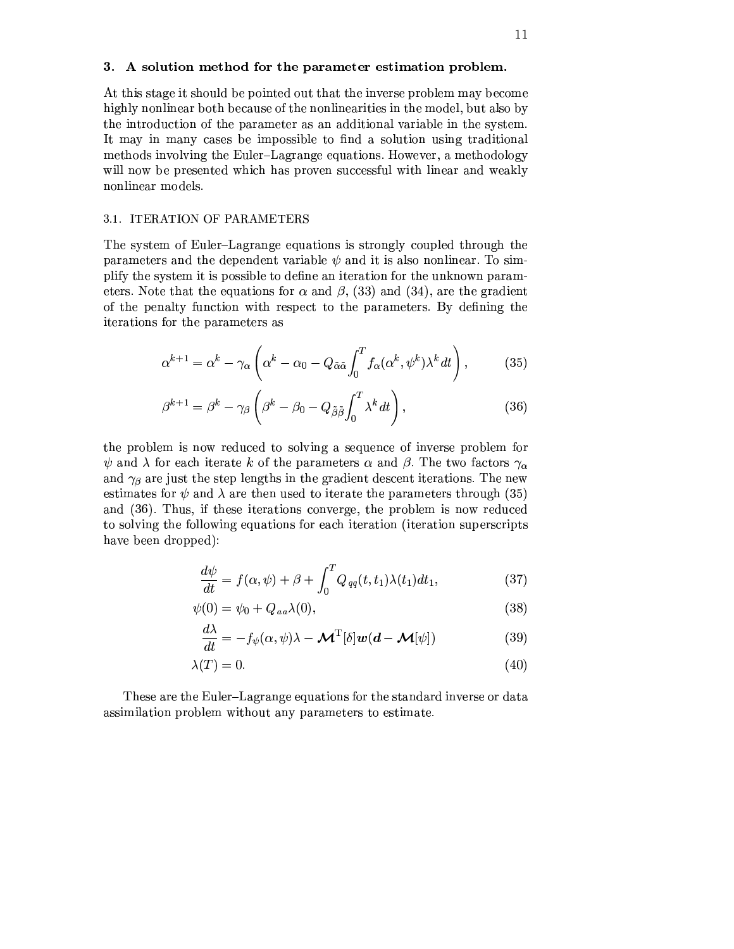# 3. A solution method for the parameter estimation problem.

At this stage it should be pointed out that the inverse problem may become highly nonlinear both because of the nonlinearities in the model, but also by the introduction of the parameter as an additional variable in the system. It may in many cases be impossible to find a solution using traditional methods involving the Euler–Lagrange equations. However, a methodology will now be presented which has proven successful with linear and weakly nonlinear models.

## 3.1. ITERATION OF PARAMETERS

The system of Euler-Lagrange equations is strongly coupled through the parameters and the dependent variable  $\psi$  and it is also nonlinear. To simplify the system it is possible to define an iteration for the unknown parameters. Note that the equations for  $\alpha$  and  $\beta$ , (33) and (34), are the gradient of the penalty function with respect to the parameters. By defining the iterations for the parameters as

$$
\alpha^{k+1} = \alpha^k - \gamma_\alpha \left( \alpha^k - \alpha_0 - Q_{\tilde{\alpha}\tilde{\alpha}} \int_0^T f_\alpha(\alpha^k, \psi^k) \lambda^k dt \right), \tag{35}
$$

$$
\beta^{k+1} = \beta^k - \gamma_\beta \left( \beta^k - \beta_0 - Q_{\tilde{\beta}\tilde{\beta}} \int_0^T \lambda^k dt \right),\tag{36}
$$

the problem is now reduced to solving a sequence of inverse problem for  $\psi$  and  $\lambda$  for each iterate k of the parameters  $\alpha$  and  $\beta$ . The two factors  $\gamma_{\alpha}$ and  $\gamma_{\beta}$  are just the step lengths in the gradient descent iterations. The new estimates for  $\psi$  and  $\lambda$  are then used to iterate the parameters through (35) and (36). Thus, if these iterations converge, the problem is now reduced to solving the following equations for each iteration (iteration superscripts have been dropped):

$$
\frac{d\psi}{dt} = f(\alpha, \psi) + \beta + \int_0^T Q_{qq}(t, t_1) \lambda(t_1) dt_1, \tag{37}
$$

$$
\psi(0) = \psi_0 + Q_{aa}\lambda(0),\tag{38}
$$

$$
\frac{d\lambda}{dt} = -f_{\psi}(\alpha, \psi)\lambda - \mathcal{M}^{T}[\delta]w(d - \mathcal{M}[\psi])
$$
\n(39)

$$
\lambda(T) = 0.\tag{40}
$$

These are the Euler-Lagrange equations for the standard inverse or data assimilation problem without any parameters to estimate.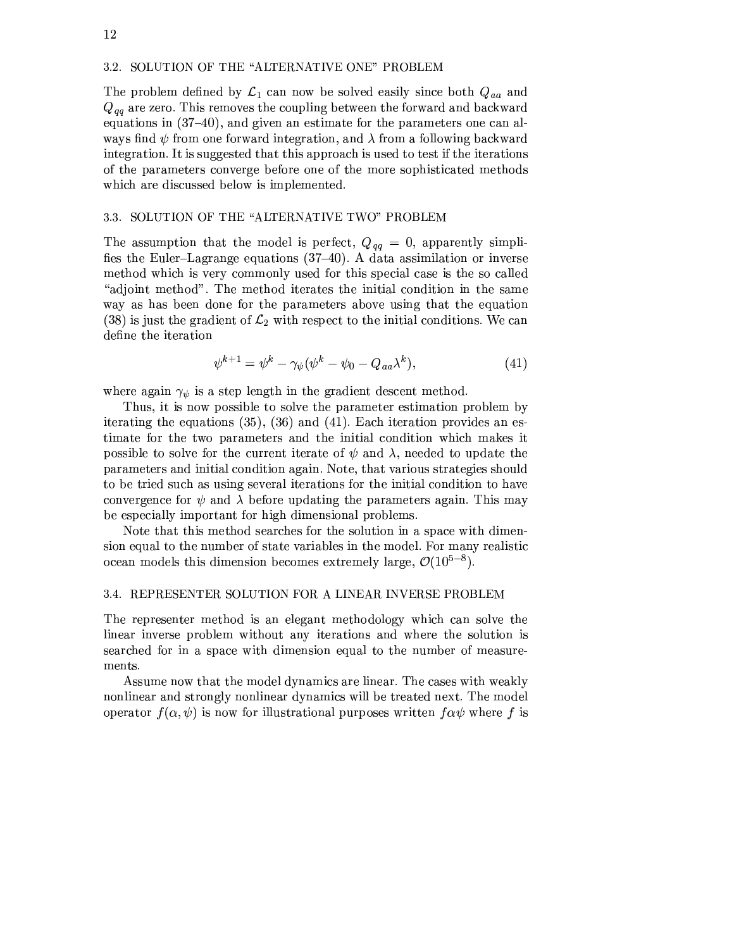# 3.2. SOLUTION OF THE "ALTERNATIVE ONE" PROBLEM

The problem defined by  $\mathcal{L}_1$  can now be solved easily since both  $Q_{aa}$  and  $Q_{qq}$  are zero. This removes the coupling between the forward and backward equations in  $(37-40)$ , and given an estimate for the parameters one can always find  $\psi$  from one forward integration, and  $\lambda$  from a following backward integration. It is suggested that this approach is used to test if the iterations of the parameters converge before one of the more sophisticated methods which are discussed below is implemented.

# 3.3. SOLUTION OF THE "ALTERNATIVE TWO" PROBLEM

The assumption that the model is perfect,  $Q_{qq} = 0$ , apparently simplifies the Euler-Lagrange equations (37-40). A data assimilation or inverse method which is very commonly used for this special case is the so called "adjoint method". The method iterates the initial condition in the same way as has been done for the parameters above using that the equation (38) is just the gradient of  $\mathcal{L}_2$  with respect to the initial conditions. We can define the iteration

$$
\psi^{k+1} = \psi^k - \gamma_\psi(\psi^k - \psi_0 - Q_{aa}\lambda^k),\tag{41}
$$

where again  $\gamma_{\psi}$  is a step length in the gradient descent method.

Thus, it is now possible to solve the parameter estimation problem by iterating the equations  $(35)$ ,  $(36)$  and  $(41)$ . Each iteration provides an estimate for the two parameters and the initial condition which makes it possible to solve for the current iterate of  $\psi$  and  $\lambda$ , needed to update the parameters and initial condition again. Note, that various strategies should to be tried such as using several iterations for the initial condition to have convergence for  $\psi$  and  $\lambda$  before updating the parameters again. This may be especially important for high dimensional problems.

Note that this method searches for the solution in a space with dimension equal to the number of state variables in the model. For many realistic ocean models this dimension becomes extremely large,  $\mathcal{O}(10^{5-8})$ .

## 3.4. REPRESENTER SOLUTION FOR A LINEAR INVERSE PROBLEM

The representer method is an elegant methodology which can solve the linear inverse problem without any iterations and where the solution is searched for in a space with dimension equal to the number of measurements.

Assume now that the model dynamics are linear. The cases with weakly nonlinear and strongly nonlinear dynamics will be treated next. The model operator  $f(\alpha, \psi)$  is now for illustrational purposes written  $f \alpha \psi$  where f is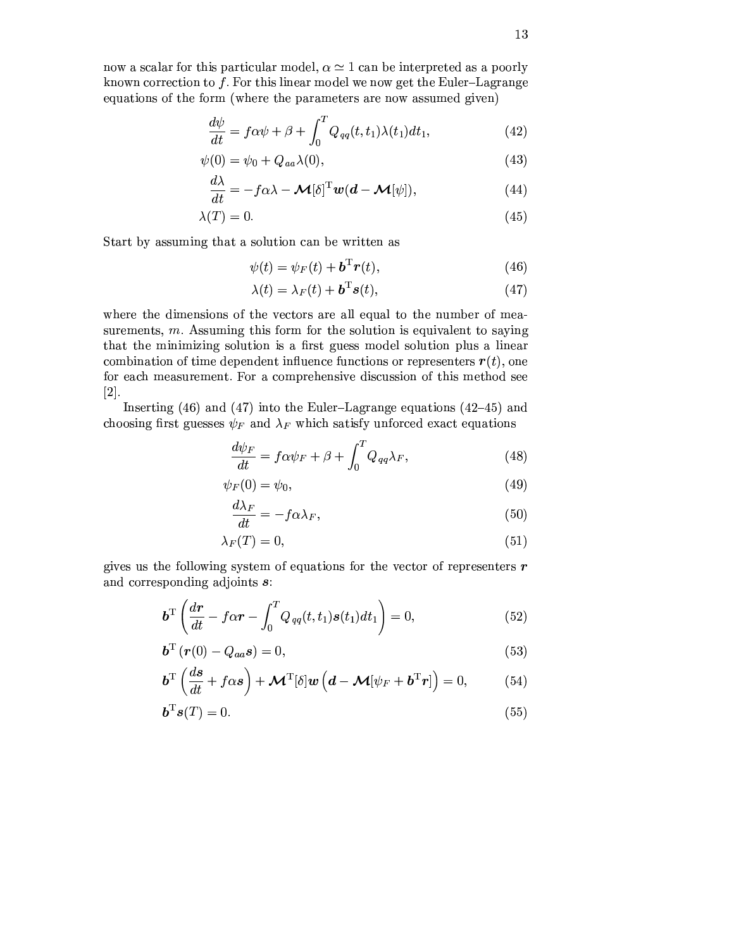now a scalar for this particular model,  $\alpha \simeq 1$  can be interpreted as a poorly known correction to  $f$ . For this linear model we now get the Euler-Lagrange equations of the form (where the parameters are now assumed given)

$$
\frac{d\psi}{dt} = f\alpha\psi + \beta + \int_0^T Q_{qq}(t, t_1)\lambda(t_1)dt_1,
$$
\n(42)

$$
\psi(0) = \psi_0 + Q_{aa}\lambda(0),\tag{43}
$$

$$
\frac{d\lambda}{dt} = -f\alpha\lambda - \mathcal{M}[\delta]^{\mathrm{T}}\boldsymbol{w}(\boldsymbol{d} - \mathcal{M}[\psi]),\tag{44}
$$

$$
\lambda(T) = 0.\t(45)
$$

Start by assuming that a solution can be written as

$$
\psi(t) = \psi_F(t) + \mathbf{b}^{\mathrm{T}} \mathbf{r}(t), \tag{46}
$$

$$
\lambda(t) = \lambda_F(t) + \boldsymbol{b}^{\mathrm{T}} \boldsymbol{s}(t),\tag{47}
$$

where the dimensions of the vectors are all equal to the number of measurements,  $m$ . Assuming this form for the solution is equivalent to saying that the minimizing solution is a first guess model solution plus a linear combination of time dependent influence functions or representers  $r(t)$ , one for each measurement. For a comprehensive discussion of this method see  $[2]$ .

Inserting  $(46)$  and  $(47)$  into the Euler-Lagrange equations  $(42-45)$  and choosing first guesses  $\psi_F$  and  $\lambda_F$  which satisfy unforced exact equations

$$
\frac{d\psi_F}{dt} = f\alpha\psi_F + \beta + \int_0^T Q_{qq}\lambda_F,\tag{48}
$$

$$
\psi_F(0) = \psi_0,\tag{49}
$$

$$
\frac{d\lambda_F}{dt} = -f\alpha\lambda_F,\tag{50}
$$

$$
\lambda_F(T) = 0,\t\t(51)
$$

gives us the following system of equations for the vector of representers  $r$ and corresponding adjoints s:

$$
\boldsymbol{b}^{\mathrm{T}}\left(\frac{d\boldsymbol{r}}{dt}-f\alpha\boldsymbol{r}-\int_{0}^{T}Q_{qq}(t,t_{1})\boldsymbol{s}(t_{1})dt_{1}\right)=0,
$$
\n(52)

$$
\boldsymbol{b}^{\mathrm{T}}\left(\boldsymbol{r}(0)-Q_{aa}\boldsymbol{s}\right)=0,\tag{53}
$$

$$
\boldsymbol{b}^{\mathrm{T}}\left(\frac{d\boldsymbol{s}}{dt} + f\alpha\boldsymbol{s}\right) + \boldsymbol{\mathcal{M}}^{\mathrm{T}}[\delta]\boldsymbol{w}\left(\boldsymbol{d} - \boldsymbol{\mathcal{M}}[\psi_F + \boldsymbol{b}^{\mathrm{T}}\boldsymbol{r}]\right) = 0, \tag{54}
$$

$$
\boldsymbol{b}^{\mathrm{T}}\boldsymbol{s}(T) = 0. \tag{55}
$$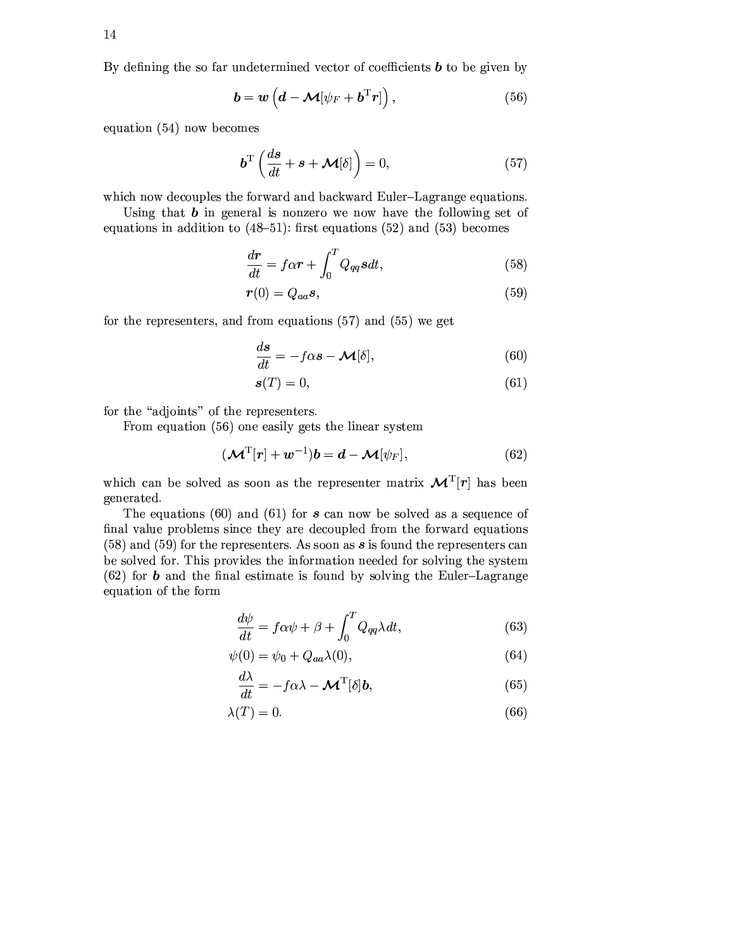By defining the so far undetermined vector of coefficients  $\boldsymbol{b}$  to be given by

$$
\boldsymbol{b} = \boldsymbol{w} \left( \boldsymbol{d} - \boldsymbol{\mathcal{M}} [\psi_F + \boldsymbol{b}^{\mathrm{T}} \boldsymbol{r} ] \right), \qquad (56)
$$

equation  $(54)$  now becomes

$$
\boldsymbol{b}^{\mathrm{T}}\left(\frac{d\boldsymbol{s}}{dt}+\boldsymbol{s}+\boldsymbol{\mathcal{M}}[\delta]\right)=0,\tag{57}
$$

which now decouples the forward and backward Euler-Lagrange equations.

Using that  $\boldsymbol{b}$  in general is nonzero we now have the following set of equations in addition to  $(48-51)$ : first equations  $(52)$  and  $(53)$  becomes

$$
\frac{dr}{dt} = f\alpha r + \int_0^T Q_{qq} s \, dt,\tag{58}
$$

$$
r(0) = Q_{aa} s,\t\t(59)
$$

for the representers, and from equations  $(57)$  and  $(55)$  we get

$$
\frac{d\mathbf{s}}{dt} = -f\alpha\mathbf{s} - \mathcal{M}[\delta],\tag{60}
$$

$$
s(T) = 0,\t(61)
$$

for the "adjoints" of the representers.

From equation (56) one easily gets the linear system

$$
(\mathcal{M}^{\mathrm{T}}[r] + w^{-1})b = d - \mathcal{M}[\psi_F],
$$
\n(62)

which can be solved as soon as the representer matrix  $\mathcal{M}^T[r]$  has been generated.

The equations (60) and (61) for  $s$  can now be solved as a sequence of final value problems since they are decoupled from the forward equations  $(58)$  and  $(59)$  for the representers. As soon as s is found the representers can be solved for. This provides the information needed for solving the system  $(62)$  for **b** and the final estimate is found by solving the Euler-Lagrange equation of the form

$$
\frac{d\psi}{dt} = f\alpha\psi + \beta + \int_0^T Q_{qq}\lambda dt, \qquad (63)
$$

$$
\psi(0) = \psi_0 + Q_{aa}\lambda(0),\tag{64}
$$

$$
\frac{d\lambda}{dt} = -f\alpha\lambda - \mathcal{M}^{\mathrm{T}}[\delta]\mathbf{b},\tag{65}
$$

$$
\lambda(T) = 0.\tag{66}
$$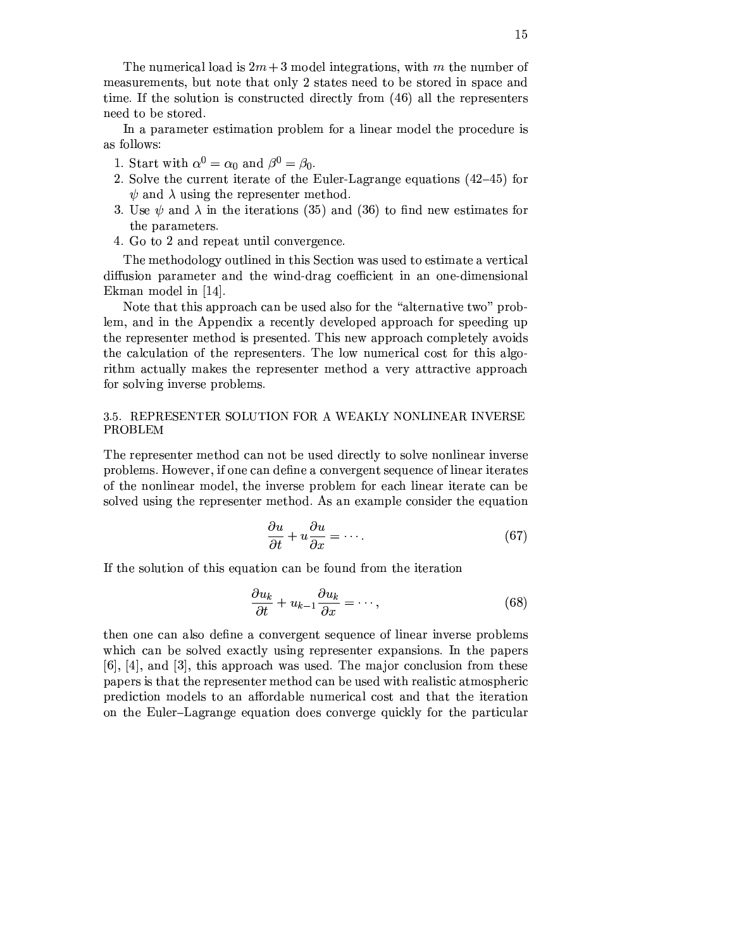The numerical load is  $2m+3$  model integrations, with m the number of measurements, but note that only 2 states need to be stored in space and time. If the solution is constructed directly from (46) all the representers need to be stored.

In a parameter estimation problem for a linear model the procedure is as follows:

- 1. Start with  $\alpha^0 = \alpha_0$  and  $\beta^0 = \beta_0$ .
- 2. Solve the current iterate of the Euler-Lagrange equations (42–45) for  $\psi$  and  $\lambda$  using the representer method.
- 3. Use  $\psi$  and  $\lambda$  in the iterations (35) and (36) to find new estimates for the parameters.
- 4. Go to 2 and repeat until convergence.

The methodology outlined in this Section was used to estimate a vertical diffusion parameter and the wind-drag coefficient in an one-dimensional Ekman model in [14].

Note that this approach can be used also for the "alternative two" problem, and in the Appendix a recently developed approach for speeding up the representer method is presented. This new approach completely avoids the calculation of the representers. The low numerical cost for this algorithm actually makes the representer method a very attractive approach for solving inverse problems.

# 3.5. REPRESENTER SOLUTION FOR A WEAKLY NONLINEAR INVERSE PROBLEM

The representer method can not be used directly to solve nonlinear inverse problems. However, if one can define a convergent sequence of linear iterates of the nonlinear model, the inverse problem for each linear iterate can be solved using the representer method. As an example consider the equation

$$
\frac{\partial u}{\partial t} + u \frac{\partial u}{\partial x} = \cdots. \tag{67}
$$

If the solution of this equation can be found from the iteration

$$
\frac{\partial u_k}{\partial t} + u_{k-1} \frac{\partial u_k}{\partial x} = \cdots,\tag{68}
$$

then one can also define a convergent sequence of linear inverse problems which can be solved exactly using representer expansions. In the papers  $[6]$ ,  $[4]$ , and  $[3]$ , this approach was used. The major conclusion from these papers is that the representer method can be used with realistic atmospheric prediction models to an affordable numerical cost and that the iteration on the Euler-Lagrange equation does converge quickly for the particular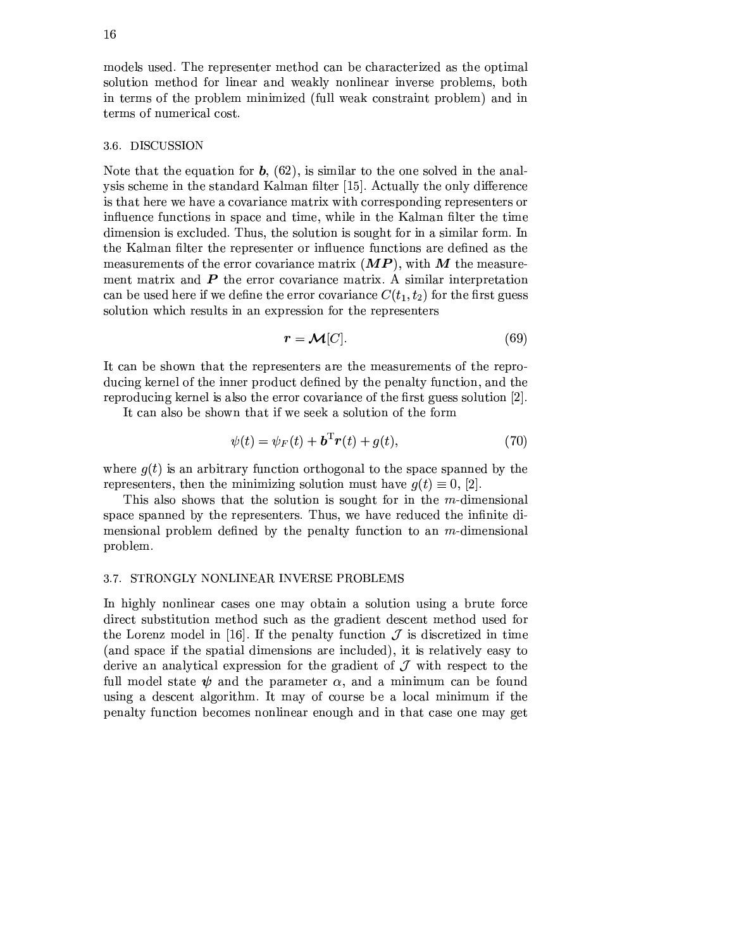models used. The representer method can be characterized as the optimal solution method for linear and weakly nonlinear inverse problems, both

### 3.6. DISCUSSION

terms of numerical cost.

Note that the equation for  $\boldsymbol{b}$ , (62), is similar to the one solved in the analysis scheme in the standard Kalman filter [15]. Actually the only difference is that here we have a covariance matrix with corresponding representers or influence functions in space and time, while in the Kalman filter the time dimension is excluded. Thus, the solution is sought for in a similar form. In the Kalman filter the representer or influence functions are defined as the measurements of the error covariance matrix  $(MP)$ , with M the measurement matrix and  $P$  the error covariance matrix. A similar interpretation can be used here if we define the error covariance  $C(t_1, t_2)$  for the first guess solution which results in an expression for the representers

in terms of the problem minimized (full weak constraint problem) and in

$$
r = \mathcal{M}[C]. \tag{69}
$$

It can be shown that the representers are the measurements of the reproducing kernel of the inner product defined by the penalty function, and the reproducing kernel is also the error covariance of the first guess solution  $[2]$ .

It can also be shown that if we seek a solution of the form

$$
\psi(t) = \psi_F(t) + \mathbf{b}^{\mathrm{T}} \mathbf{r}(t) + g(t), \tag{70}
$$

where  $q(t)$  is an arbitrary function orthogonal to the space spanned by the representers, then the minimizing solution must have  $q(t) \equiv 0$ , [2].

This also shows that the solution is sought for in the  $m$ -dimensional space spanned by the representers. Thus, we have reduced the infinite dimensional problem defined by the penalty function to an  $m$ -dimensional problem.

#### 3.7. STRONGLY NONLINEAR INVERSE PROBLEMS

In highly nonlinear cases one may obtain a solution using a brute force direct substitution method such as the gradient descent method used for the Lorenz model in [16]. If the penalty function  $\mathcal J$  is discretized in time (and space if the spatial dimensions are included), it is relatively easy to derive an analytical expression for the gradient of  $\mathcal J$  with respect to the full model state  $\psi$  and the parameter  $\alpha$ , and a minimum can be found using a descent algorithm. It may of course be a local minimum if the penalty function becomes nonlinear enough and in that case one may get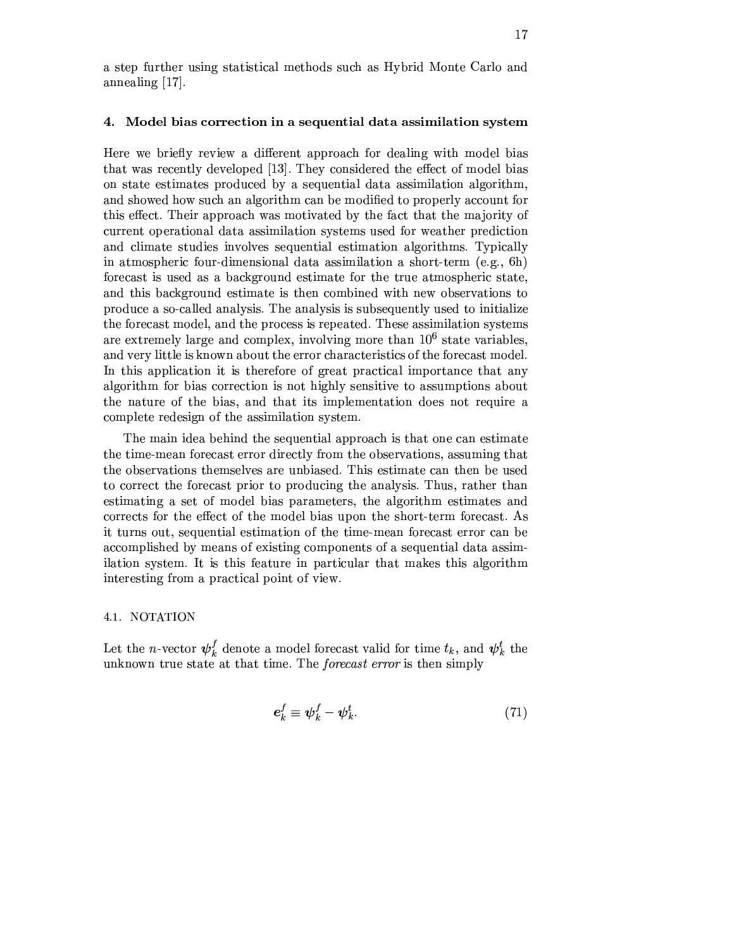a step further using statistical methods such as Hybrid Monte Carlo and annealing  $[17]$ .

#### 4. Model bias correction in a sequential data assimilation system

Here we briefly review a different approach for dealing with model bias that was recently developed [13]. They considered the effect of model bias on state estimates produced by a sequential data assimilation algorithm, and showed how such an algorithm can be modified to properly account for this effect. Their approach was motivated by the fact that the majority of current operational data assimilation systems used for weather prediction and climate studies involves sequential estimation algorithms. Typically in atmospheric four-dimensional data assimilation a short-term  $(e.g., 6h)$ forecast is used as a background estimate for the true atmospheric state, and this background estimate is then combined with new observations to produce a so-called analysis. The analysis is subsequently used to initialize the forecast model, and the process is repeated. These assimilation systems are extremely large and complex, involving more than  $10^6$  state variables, and very little is known about the error characteristics of the forecast model. In this application it is therefore of great practical importance that any algorithm for bias correction is not highly sensitive to assumptions about the nature of the bias, and that its implementation does not require a complete redesign of the assimilation system.

The main idea behind the sequential approach is that one can estimate the time-mean forecast error directly from the observations, assuming that the observations themselves are unbiased. This estimate can then be used to correct the forecast prior to producing the analysis. Thus, rather than estimating a set of model bias parameters, the algorithm estimates and corrects for the effect of the model bias upon the short-term forecast. As it turns out, sequential estimation of the time-mean forecast error can be accomplished by means of existing components of a sequential data assimilation system. It is this feature in particular that makes this algorithm interesting from a practical point of view.

#### 4.1. NOTATION

Let the *n*-vector  $\psi_k^f$  denote a model forecast valid for time  $t_k$ , and  $\psi_k^t$  the unknown true state at that time. The *forecast error* is then simply

$$
\boldsymbol{e}_k^f \equiv \boldsymbol{\psi}_k^f - \boldsymbol{\psi}_k^t. \tag{71}
$$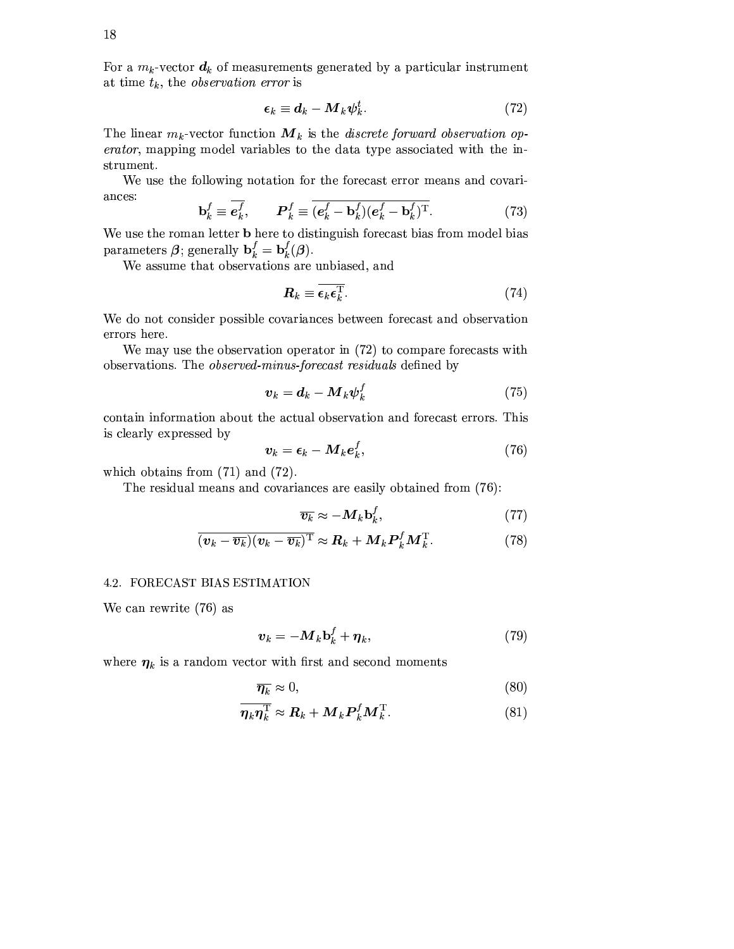For a  $m_k$ -vector  $d_k$  of measurements generated by a particular instrument at time  $t_k$ , the *observation error* is

$$
\boldsymbol{\epsilon}_k \equiv \boldsymbol{d}_k - \boldsymbol{M}_k \boldsymbol{\psi}_k^t. \tag{72}
$$

The linear  $m_k$ -vector function  $M_k$  is the *discrete forward observation op*erator, mapping model variables to the data type associated with the instrument.

We use the following notation for the forecast error means and covariances:

$$
\mathbf{b}_k^f \equiv \overline{\mathbf{e}_k^f}, \qquad \mathbf{P}_k^f \equiv \overline{(\mathbf{e}_k^f - \mathbf{b}_k^f)(\mathbf{e}_k^f - \mathbf{b}_k^f)^{\mathrm{T}}}.
$$
 (73)

We use the roman letter **b** here to distinguish forecast bias from model bias parameters  $\boldsymbol{\beta}$ ; generally  $\mathbf{b}_k^f = \mathbf{b}_k^f(\boldsymbol{\beta}).$ 

We assume that observations are unbiased, and

$$
\boldsymbol{R}_k \equiv \overline{\boldsymbol{\epsilon}_k \boldsymbol{\epsilon}_k^{\mathrm{T}}}.\tag{74}
$$

We do not consider possible covariances between forecast and observation errors here.

We may use the observation operator in  $(72)$  to compare forecasts with observations. The *observed-minus-forecast residuals* defined by

$$
v_k = d_k - M_k \psi_k^{\dagger} \tag{75}
$$

contain information about the actual observation and forecast errors. This is clearly expressed by

$$
\boldsymbol{v}_k = \boldsymbol{\epsilon}_k - \boldsymbol{M}_k \boldsymbol{e}_k^f, \tag{76}
$$

which obtains from  $(71)$  and  $(72)$ .

The residual means and covariances are easily obtained from (76):

$$
\overline{v_k} \approx -\mathbf{M}_k \mathbf{b}_k^f,\tag{77}
$$

$$
\overline{(\boldsymbol{v}_k - \overline{\boldsymbol{v}_k})(\boldsymbol{v}_k - \overline{\boldsymbol{v}_k})^{\mathrm{T}}} \approx \boldsymbol{R}_k + \boldsymbol{M}_k \boldsymbol{P}_k^f \boldsymbol{M}_k^{\mathrm{T}}.
$$
 (78)

## 4.2. FORECAST BIAS ESTIMATION

We can rewrite  $(76)$  as

$$
\boldsymbol{v}_k = -\boldsymbol{M}_k \mathbf{b}_k^f + \boldsymbol{\eta}_k,\tag{79}
$$

where  $\eta_k$  is a random vector with first and second moments

$$
\overline{\eta_k} \approx 0,\tag{80}
$$

$$
\overline{\boldsymbol{\eta}_k \boldsymbol{\eta}_k^{\mathrm{T}}} \approx \boldsymbol{R}_k + \boldsymbol{M}_k \boldsymbol{P}_k^f \boldsymbol{M}_k^{\mathrm{T}}.
$$
 (81)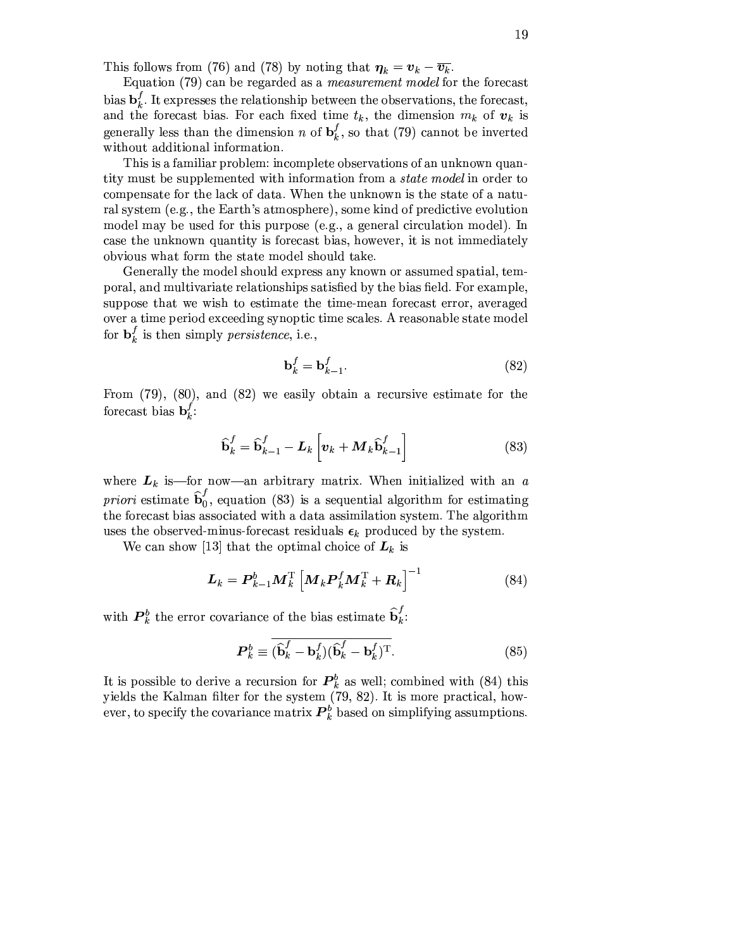This follows from (76) and (78) by noting that  $\eta_k = v_k - \overline{v_k}$ .

Equation (79) can be regarded as a *measurement model* for the forecast bias  $\mathbf{b}_k^t$ . It expresses the relationship between the observations, the forecast, and the forecast bias. For each fixed time  $t_k$ , the dimension  $m_k$  of  $v_k$  is generally less than the dimension n of  $\mathbf{b}_k^f$ , so that (79) cannot be inverted without additional information.

This is a familiar problem: incomplete observations of an unknown quantity must be supplemented with information from a *state model* in order to compensate for the lack of data. When the unknown is the state of a natural system (e.g., the Earth's atmosphere), some kind of predictive evolution model may be used for this purpose (e.g., a general circulation model). In case the unknown quantity is forecast bias, however, it is not immediately obvious what form the state model should take.

Generally the model should express any known or assumed spatial, temporal, and multivariate relationships satisfied by the bias field. For example, suppose that we wish to estimate the time-mean forecast error, averaged over a time period exceeding synoptic time scales. A reasonable state model for  $\mathbf{b}_k^f$  is then simply *persistence*, i.e.,

$$
\mathbf{b}_k^f = \mathbf{b}_{k-1}^f. \tag{82}
$$

From  $(79)$ ,  $(80)$ , and  $(82)$  we easily obtain a recursive estimate for the forecast bias  $\mathbf{b}_k^f$ :

$$
\widehat{\mathbf{b}}_k^f = \widehat{\mathbf{b}}_{k-1}^f - \mathbf{L}_k \left[ \boldsymbol{v}_k + \boldsymbol{M}_k \widehat{\mathbf{b}}_{k-1}^f \right] \tag{83}
$$

where  $L_k$  is for now an arbitrary matrix. When initialized with an a *priori* estimate  $\hat{\mathbf{b}}_0^f$ , equation (83) is a sequential algorithm for estimating the forecast bias associated with a data assimilation system. The algorithm uses the observed-minus-forecast residuals  $\epsilon_k$  produced by the system.

We can show [13] that the optimal choice of  $L_k$  is

$$
\boldsymbol{L}_{k} = \boldsymbol{P}_{k-1}^{b} \boldsymbol{M}_{k}^{\mathrm{T}} \left[ \boldsymbol{M}_{k} \boldsymbol{P}_{k}^{f} \boldsymbol{M}_{k}^{\mathrm{T}} + \boldsymbol{R}_{k} \right]^{-1} \tag{84}
$$

with  $P_k^b$  the error covariance of the bias estimate  $\hat{\mathbf{b}}_k^f$ :

$$
\boldsymbol{P}_k^b \equiv \overline{(\widehat{\mathbf{b}}_k^f - \mathbf{b}_k^f)(\widehat{\mathbf{b}}_k^f - \mathbf{b}_k^f)^{\mathrm{T}}}.
$$
 (85)

It is possible to derive a recursion for  $P_k^b$  as well; combined with (84) this yields the Kalman filter for the system (79, 82). It is more practical, however, to specify the covariance matrix  $P_k^b$  based on simplifying assumptions.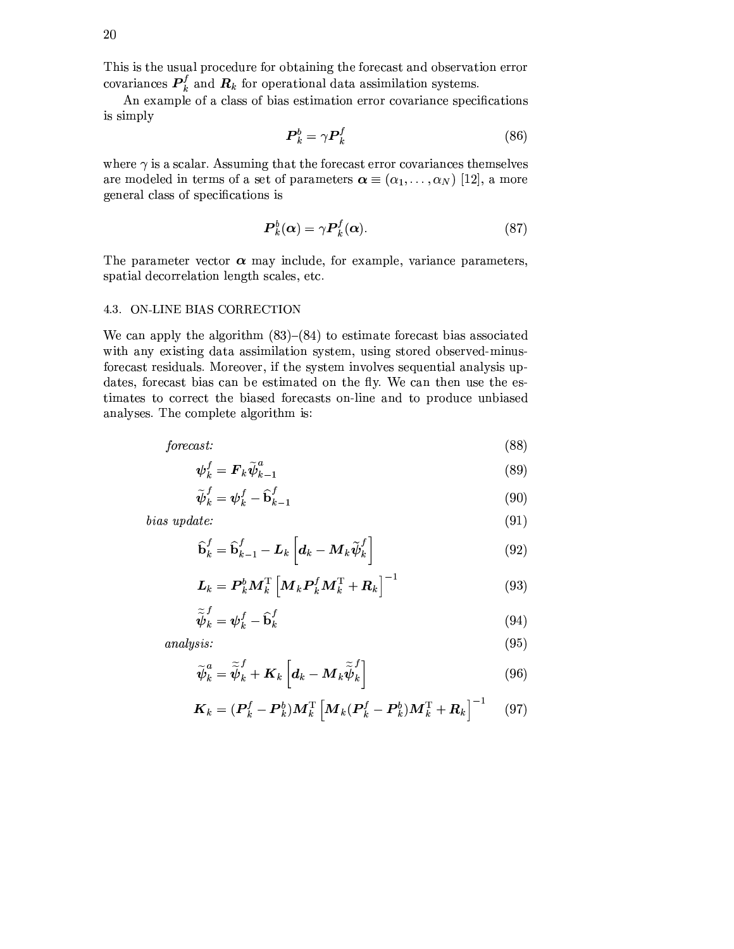This is the usual procedure for obtaining the forecast and observation error covariances  $P_k^f$  and  $R_k$  for operational data assimilation systems.

An example of a class of bias estimation error covariance specifications is simply

$$
\boldsymbol{P}_k^b = \gamma \boldsymbol{P}_k^f \tag{86}
$$

where  $\gamma$  is a scalar. Assuming that the forecast error covariances themselves are modeled in terms of a set of parameters  $\boldsymbol{\alpha} \equiv (\alpha_1, \ldots, \alpha_N)$  [12], a more general class of specifications is

$$
\boldsymbol{P}_k^b(\boldsymbol{\alpha}) = \gamma \boldsymbol{P}_k^f(\boldsymbol{\alpha}).\tag{87}
$$

The parameter vector  $\alpha$  may include, for example, variance parameters, spatial decorrelation length scales, etc.

#### 4.3. ON-LINE BIAS CORRECTION

We can apply the algorithm  $(83)$ – $(84)$  to estimate forecast bias associated with any existing data assimilation system, using stored observed-minusforecast residuals. Moreover, if the system involves sequential analysis updates, forecast bias can be estimated on the fly. We can then use the estimates to correct the biased forecasts on-line and to produce unbiased analyses. The complete algorithm is:

forecast:

 $(88)$ 

$$
\boldsymbol{\psi}_k^f = \boldsymbol{F}_k \widetilde{\boldsymbol{\psi}}_{k-1}^a \tag{89}
$$

$$
\widetilde{\boldsymbol{\psi}}_k^f = \boldsymbol{\psi}_k^f - \widehat{\mathbf{b}}_{k-1}^f \tag{90}
$$

 $(91)$ 

 $(95)$ 

bias update:

$$
\widehat{\mathbf{b}}_k^f = \widehat{\mathbf{b}}_{k-1}^f - \mathbf{L}_k \left[ \mathbf{d}_k - \mathbf{M}_k \widetilde{\boldsymbol{\psi}}_k^f \right] \tag{92}
$$

$$
\boldsymbol{L}_k = \boldsymbol{P}_k^b \boldsymbol{M}_k^{\mathrm{T}} \left[ \boldsymbol{M}_k \boldsymbol{P}_k^f \boldsymbol{M}_k^{\mathrm{T}} + \boldsymbol{R}_k \right]^{-1} \tag{93}
$$

$$
\widetilde{\widetilde{\boldsymbol{\psi}}}_k^f = \boldsymbol{\psi}_k^f - \widehat{\mathbf{b}}_k^f \tag{94}
$$

 $analysis:$ 

$$
\widetilde{\boldsymbol{\psi}}_{k}^{a} = \widetilde{\widetilde{\boldsymbol{\psi}}}_{k}^{f} + \boldsymbol{K}_{k} \left[ \boldsymbol{d}_{k} - \boldsymbol{M}_{k} \widetilde{\widetilde{\boldsymbol{\psi}}}_{k}^{f} \right]
$$
\n(96)

$$
\boldsymbol{K}_k = (\boldsymbol{P}_k^f - \boldsymbol{P}_k^b) \boldsymbol{M}_k^{\mathrm{T}} \left[ \boldsymbol{M}_k (\boldsymbol{P}_k^f - \boldsymbol{P}_k^b) \boldsymbol{M}_k^{\mathrm{T}} + \boldsymbol{R}_k \right]^{-1} \qquad (97)
$$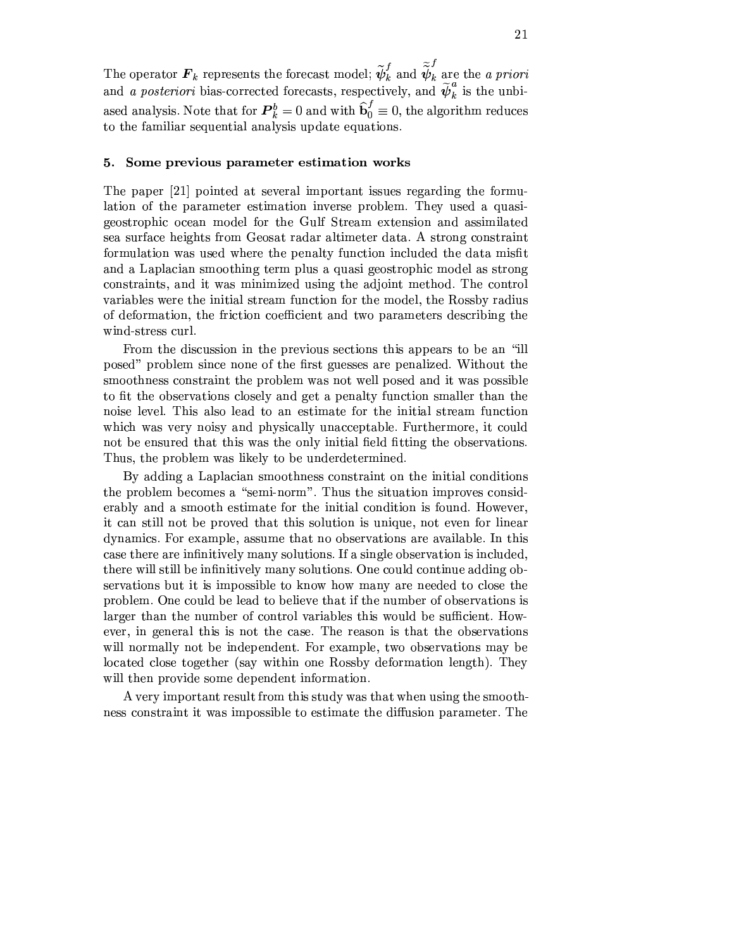The operator  $\mathbf{F}_k$  represents the forecast model;  $\widetilde{\boldsymbol{\psi}}_k^f$  and  $\widetilde{\boldsymbol{\psi}}_k^f$  are the *a priori* and a posteriori bias-corrected forecasts, respectively, and  $\widetilde{\psi}_{k}^{a}$  is the unbiased analysis. Note that for  $P_k^b = 0$  and with  $\hat{\mathbf{b}}_0^f \equiv 0$ , the algorithm reduces to the familiar sequential analysis update equations.

#### Some previous parameter estimation works 5.

The paper [21] pointed at several important issues regarding the formulation of the parameter estimation inverse problem. They used a quasigeostrophic ocean model for the Gulf Stream extension and assimilated sea surface heights from Geosat radar altimeter data. A strong constraint formulation was used where the penalty function included the data misfit and a Laplacian smoothing term plus a quasi geostrophic model as strong constraints, and it was minimized using the adjoint method. The control variables were the initial stream function for the model, the Rossby radius of deformation, the friction coefficient and two parameters describing the wind-stress curl.

From the discussion in the previous sections this appears to be an "ill posed" problem since none of the first guesses are penalized. Without the smoothness constraint the problem was not well posed and it was possible to fit the observations closely and get a penalty function smaller than the noise level. This also lead to an estimate for the initial stream function which was very noisy and physically unacceptable. Furthermore, it could not be ensured that this was the only initial field fitting the observations. Thus, the problem was likely to be underdetermined.

By adding a Laplacian smoothness constraint on the initial conditions the problem becomes a "semi-norm". Thus the situation improves considerably and a smooth estimate for the initial condition is found. However, it can still not be proved that this solution is unique, not even for linear dynamics. For example, assume that no observations are available. In this case there are infinitively many solutions. If a single observation is included, there will still be infinitively many solutions. One could continue adding observations but it is impossible to know how many are needed to close the problem. One could be lead to believe that if the number of observations is larger than the number of control variables this would be sufficient. However, in general this is not the case. The reason is that the observations will normally not be independent. For example, two observations may be located close together (say within one Rossby deformation length). They will then provide some dependent information.

A very important result from this study was that when using the smoothness constraint it was impossible to estimate the diffusion parameter. The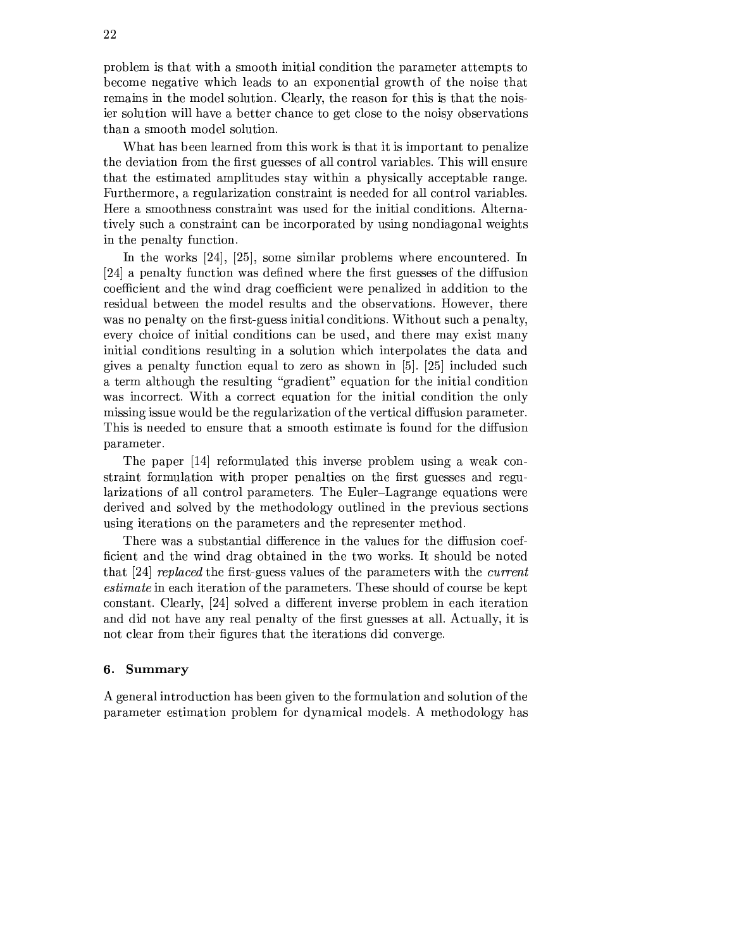problem is that with a smooth initial condition the parameter attempts to become negative which leads to an exponential growth of the noise that remains in the model solution. Clearly, the reason for this is that the noisier solution will have a better chance to get close to the noisy observations than a smooth model solution.

What has been learned from this work is that it is important to penalize the deviation from the first guesses of all control variables. This will ensure that the estimated amplitudes stay within a physically acceptable range. Furthermore, a regularization constraint is needed for all control variables. Here a smoothness constraint was used for the initial conditions. Alternatively such a constraint can be incorporated by using nondiagonal weights in the penalty function.

In the works  $[24]$ ,  $[25]$ , some similar problems where encountered. In [24] a penalty function was defined where the first guesses of the diffusion coefficient and the wind drag coefficient were penalized in addition to the residual between the model results and the observations. However, there was no penalty on the first-guess initial conditions. Without such a penalty, every choice of initial conditions can be used, and there may exist many initial conditions resulting in a solution which interpolates the data and gives a penalty function equal to zero as shown in  $[5]$ . [25] included such a term although the resulting "gradient" equation for the initial condition was incorrect. With a correct equation for the initial condition the only missing issue would be the regularization of the vertical diffusion parameter. This is needed to ensure that a smooth estimate is found for the diffusion parameter.

The paper [14] reformulated this inverse problem using a weak constraint formulation with proper penalties on the first guesses and regularizations of all control parameters. The Euler-Lagrange equations were derived and solved by the methodology outlined in the previous sections using iterations on the parameters and the representer method.

There was a substantial difference in the values for the diffusion coefficient and the wind drag obtained in the two works. It should be noted that [24] replaced the first-guess values of the parameters with the current *estimate* in each iteration of the parameters. These should of course be kept constant. Clearly, [24] solved a different inverse problem in each iteration and did not have any real penalty of the first guesses at all. Actually, it is not clear from their figures that the iterations did converge.

## 6. Summary

A general introduction has been given to the formulation and solution of the parameter estimation problem for dynamical models. A methodology has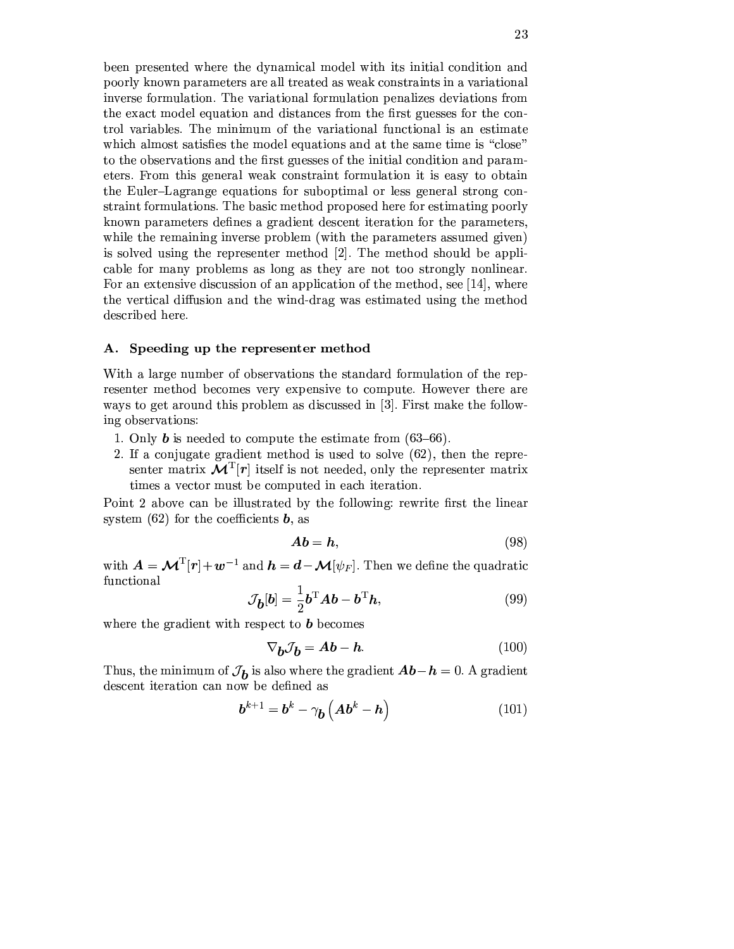been presented where the dynamical model with its initial condition and poorly known parameters are all treated as weak constraints in a variational inverse formulation. The variational formulation penalizes deviations from the exact model equation and distances from the first guesses for the control variables. The minimum of the variational functional is an estimate which almost satisfies the model equations and at the same time is "close" to the observations and the first guesses of the initial condition and parameters. From this general weak constraint formulation it is easy to obtain the Euler-Lagrange equations for suboptimal or less general strong constraint formulations. The basic method proposed here for estimating poorly known parameters defines a gradient descent iteration for the parameters, while the remaining inverse problem (with the parameters assumed given) is solved using the representer method [2]. The method should be applicable for many problems as long as they are not too strongly nonlinear. For an extensive discussion of an application of the method, see [14], where the vertical diffusion and the wind-drag was estimated using the method described here.

# A. Speeding up the representer method

With a large number of observations the standard formulation of the representer method becomes very expensive to compute. However there are ways to get around this problem as discussed in [3]. First make the following observations:

- 1. Only **b** is needed to compute the estimate from  $(63-66)$ .
- 2. If a conjugate gradient method is used to solve  $(62)$ , then the representer matrix  $\mathcal{M}^{T}[r]$  itself is not needed, only the representer matrix times a vector must be computed in each iteration.

Point 2 above can be illustrated by the following: rewrite first the linear system (62) for the coefficients  $\bm{b}$ , as

$$
Ab = h,\tag{98}
$$

with  $\mathbf{A} = \mathbf{M}^{\mathrm{T}}[\mathbf{r}] + \mathbf{w}^{-1}$  and  $\mathbf{h} = \mathbf{d} - \mathbf{M}[\psi_F]$ . Then we define the quadratic functional

$$
\mathcal{J}_{\boldsymbol{b}}[\boldsymbol{b}] = \frac{1}{2} \boldsymbol{b}^{\mathrm{T}} \boldsymbol{A} \boldsymbol{b} - \boldsymbol{b}^{\mathrm{T}} \boldsymbol{h},\tag{99}
$$

where the gradient with respect to  $\boldsymbol{b}$  becomes

$$
\nabla_{\boldsymbol{b}} \mathcal{J}_{\boldsymbol{b}} = A \boldsymbol{b} - \boldsymbol{h}.\tag{100}
$$

Thus, the minimum of  $\mathcal{J}_h$  is also where the gradient  $Ab - h = 0$ . A gradient descent iteration can now be defined as

$$
\boldsymbol{b}^{k+1} = \boldsymbol{b}^k - \gamma_{\boldsymbol{b}} \left( \boldsymbol{A} \boldsymbol{b}^k - \boldsymbol{h} \right) \tag{101}
$$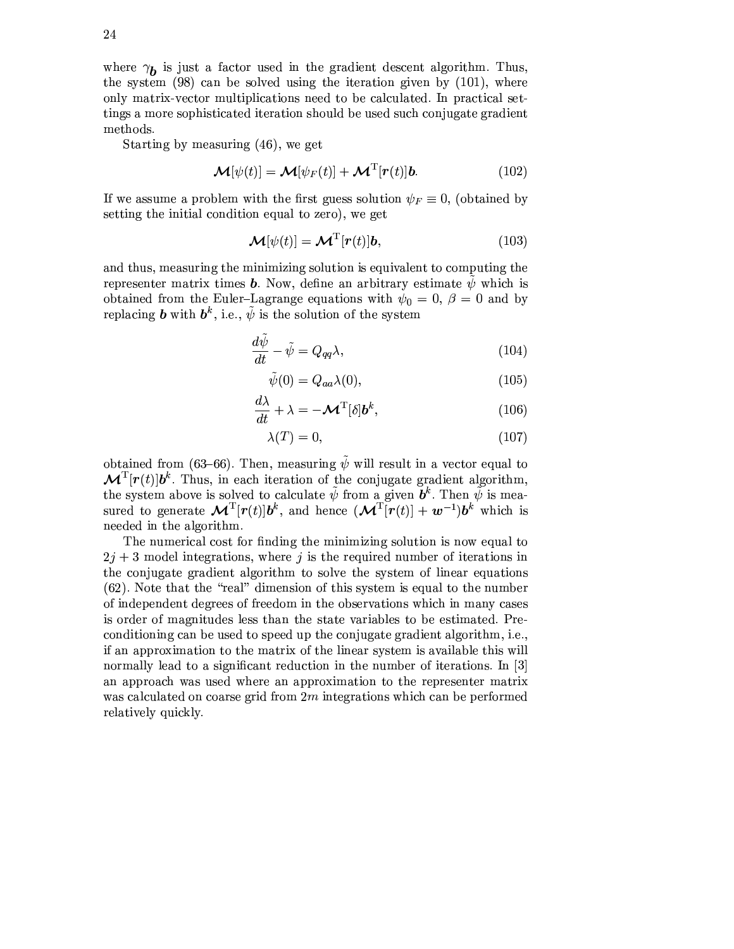where  $\gamma_b$  is just a factor used in the gradient descent algorithm. Thus, the system  $(98)$  can be solved using the iteration given by  $(101)$ , where only matrix-vector multiplications need to be calculated. In practical settings a more sophisticated iteration should be used such conjugate gradient methods.

Starting by measuring  $(46)$ , we get

$$
\mathcal{M}[\psi(t)] = \mathcal{M}[\psi_F(t)] + \mathcal{M}^{\mathrm{T}}[r(t)]b.
$$
 (102)

If we assume a problem with the first guess solution  $\psi_F \equiv 0$ , (obtained by setting the initial condition equal to zero), we get

$$
\mathbf{\mathcal{M}}[\psi(t)] = \mathbf{\mathcal{M}}^{\mathrm{T}}[\mathbf{r}(t)]\mathbf{b},\tag{103}
$$

and thus, measuring the minimizing solution is equivalent to computing the representer matrix times b. Now, define an arbitrary estimate  $\psi$  which is obtained from the Euler-Lagrange equations with  $\psi_0 = 0$ ,  $\beta = 0$  and by replacing **b** with  $b^k$ , i.e.,  $\hat{\psi}$  is the solution of the system

$$
\frac{d\psi}{dt} - \tilde{\psi} = Q_{qq}\lambda,\tag{104}
$$

$$
\tilde{\psi}(0) = Q_{aa}\lambda(0),\tag{105}
$$

$$
\frac{d\lambda}{dt} + \lambda = -\mathcal{M}^{\mathrm{T}}[\delta]b^{k},\qquad(106)
$$

$$
\lambda(T) = 0,\t(107)
$$

obtained from (63–66). Then, measuring  $\tilde{\psi}$  will result in a vector equal to  $\mathcal{M}^{T}[r(t)]b^{k}$ . Thus, in each iteration of the conjugate gradient algorithm, the system above is solved to calculate  $\tilde{\psi}$  from a given  $b^k$ . Then  $\tilde{\psi}$  is measured to generate  $\mathcal{M}^T[r(t)]b^k$ , and hence  $(\mathcal{M}^T[r(t)] + w^{-1})b^k$  which is needed in the algorithm.

The numerical cost for finding the minimizing solution is now equal to  $2j+3$  model integrations, where j is the required number of iterations in the conjugate gradient algorithm to solve the system of linear equations  $(62)$ . Note that the "real" dimension of this system is equal to the number of independent degrees of freedom in the observations which in many cases is order of magnitudes less than the state variables to be estimated. Preconditioning can be used to speed up the conjugate gradient algorithm, i.e., if an approximation to the matrix of the linear system is available this will normally lead to a significant reduction in the number of iterations. In [3] an approach was used where an approximation to the representer matrix was calculated on coarse grid from  $2m$  integrations which can be performed relatively quickly.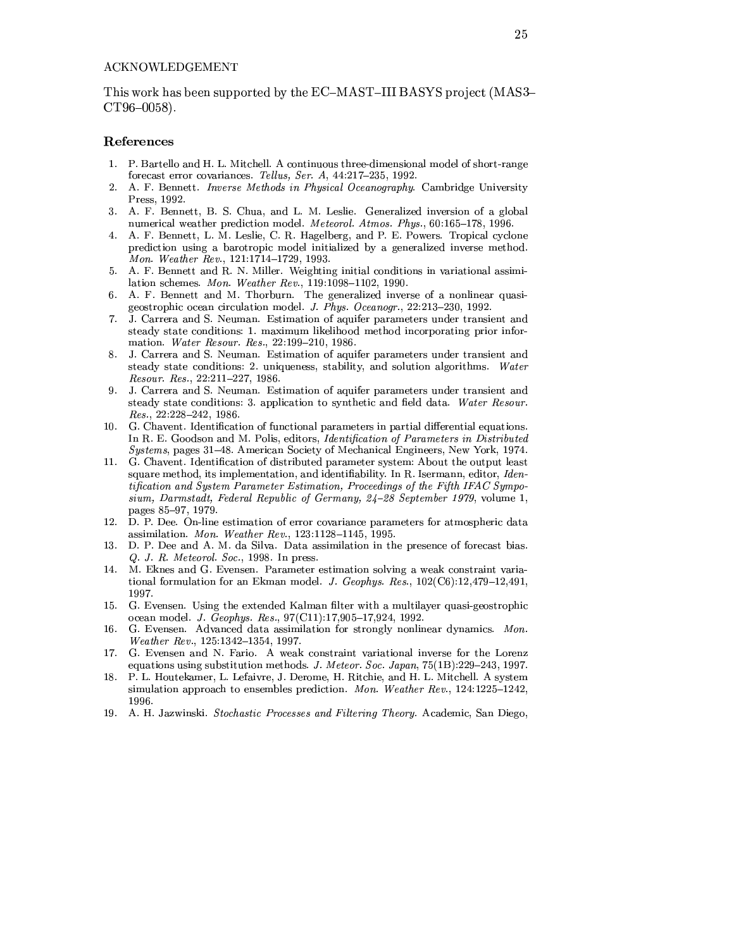#### **ACKNOWLEDGEMENT**

This work has been supported by the EC-MAST-III BASYS project (MAS3- $CT96-0058$ ).

#### References

- P. Bartello and H. L. Mitchell. A continuous three-dimensional model of short-range forecast error covariances. Tellus, Ser. A, 44:217-235, 1992.
- A. F. Bennett. Inverse Methods in Physical Oceanography. Cambridge University  $\mathfrak{D}$ . Press, 1992.
- 3. A. F. Bennett, B. S. Chua, and L. M. Leslie. Generalized inversion of a global numerical weather prediction model. Meteorol. Atmos. Phys., 60:165-178, 1996.
- 4. A. F. Bennett, L. M. Leslie, C. R. Hagelberg, and P. E. Powers. Tropical cyclone prediction using a barotropic model initialized by a generalized inverse method. Mon. Weather Rev., 121:1714-1729, 1993.
- A. F. Bennett and R. N. Miller. Weighting initial conditions in variational assimilation schemes. Mon. Weather Rev., 119:1098-1102, 1990.
- 6. A. F. Bennett and M. Thorburn. The generalized inverse of a nonlinear quasigeostrophic ocean circulation model. J. Phys. Oceanogr., 22:213-230, 1992.
- 7. J. Carrera and S. Neuman. Estimation of aquifer parameters under transient and steady state conditions: 1. maximum likelihood method incorporating prior information. Water Resour. Res., 22:199-210, 1986.
- 8. J. Carrera and S. Neuman. Estimation of aquifer parameters under transient and steady state conditions: 2. uniqueness, stability, and solution algorithms. Water Resour. Res., 22:211-227, 1986.
- 9. J. Carrera and S. Neuman. Estimation of aquifer parameters under transient and steady state conditions: 3. application to synthetic and field data. Water Resour. Res., 22:228-242, 1986.
- 10. G. Chavent. Identification of functional parameters in partial differential equations. In R. E. Goodson and M. Polis, editors, Identification of Parameters in Distributed Systems, pages 31–48. American Society of Mechanical Engineers, New York, 1974.
- 11. G. Chavent. Identification of distributed parameter system: About the output least square method, its implementation, and identifiability. In R. Isermann, editor, *Iden*tification and System Parameter Estimation, Proceedings of the Fifth IFAC Symposium, Darmstadt, Federal Republic of Germany, 24-28 September 1979, volume 1, pages 85-97, 1979.
- 12. D. P. Dee. On-line estimation of error covariance parameters for atmospheric data assimilation. Mon. Weather Rev., 123:1128-1145, 1995.
- D. P. Dee and A. M. da Silva. Data assimilation in the presence of forecast bias. 13. Q. J. R. Meteorol. Soc., 1998. In press.
- M. Eknes and G. Evensen. Parameter estimation solving a weak constraint varia-14. tional formulation for an Ekman model. J. Geophys. Res.,  $102(C6):12,479-12,491$ , 1997.
- G. Evensen. Using the extended Kalman filter with a multilayer quasi-geostrophic 15. ocean model. J. Geophys. Res., 97(C11):17,905-17,924, 1992.
- G. Evensen. Advanced data assimilation for strongly nonlinear dynamics. Mon. 16. Weather Rev., 125:1342-1354, 1997.
- 17. G. Evensen and N. Fario. A weak constraint variational inverse for the Lorenz equations using substitution methods. J. Meteor. Soc. Japan, 75(1B): 229-243, 1997.
- 18 P. L. Houtekamer, L. Lefaivre, J. Derome, H. Ritchie, and H. L. Mitchell. A system simulation approach to ensembles prediction. Mon. Weather Rev.,  $124:1225-1242$ , 1996.
- 19. A. H. Jazwinski. Stochastic Processes and Filtering Theory. Academic, San Diego,